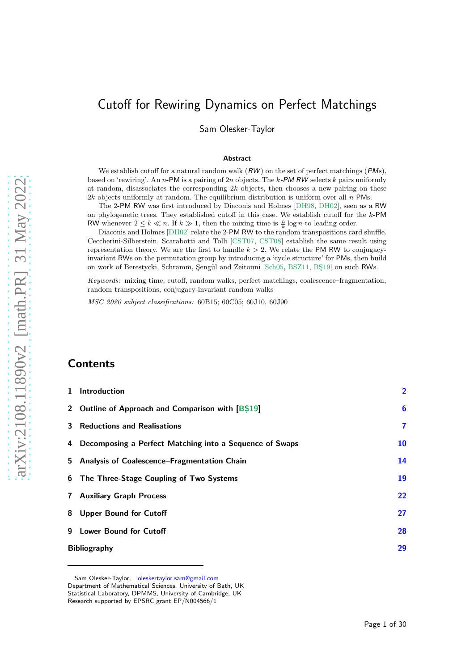# Cutoff for Rewiring Dynamics on Perfect Matchings

Sam Olesker-Taylor

#### Abstract

We establish cutoff for a natural random walk  $(RW)$  on the set of perfect matchings  $(PMs)$ , based on 'rewiring'. An n-PM is a pairing of  $2n$  objects. The k-PM RW selects k pairs uniformly at random, disassociates the corresponding  $2k$  objects, then chooses a new pairing on these  $2k$  objects uniformly at random. The equilibrium distribution is uniform over all  $n$ -PMs.

The 2-PM RW was first introduced by Diaconis and Holmes [\[DH98,](#page-28-0) [DH02](#page-29-0)], seen as a RW on phylogenetic trees. They established cutoff in this case. We establish cutoff for the k-PM RW whenever  $2 \leq k \ll n$ . If  $k \gg 1$ , then the mixing time is  $\frac{n}{k} \log n$  to leading order.

Diaconis and Holmes [\[DH02\]](#page-29-0) relate the 2-PM RW to the random transpositions card shuffle. Ceccherini-Silberstein, Scarabotti and Tolli [\[CST07](#page-28-1), [CST08](#page-28-2)] establish the same result using representation theory. We are the first to handle  $k > 2$ . We relate the PM RW to conjugacyinvariant RWs on the permutation group by introducing a 'cycle structure' for PMs, then build on work of Berestycki, Schramm, Sengül and Zeitouni [\[Sch05,](#page-29-1) [BSZ11](#page-28-3), BS19] on such RWs.

Keywords: mixing time, cutoff, random walks, perfect matchings, coalescence–fragmentation, random transpositions, conjugacy-invariant random walks

MSC 2020 subject classifications: 60B15; 60C05; 60J10, 60J90

## **Contents**

| 1 Introduction                                            | $\overline{2}$ |
|-----------------------------------------------------------|----------------|
| 2 Outline of Approach and Comparison with [B\$19]         | 6              |
| <b>3</b> Reductions and Realisations                      | $\mathbf{7}$   |
| 4 Decomposing a Perfect Matching into a Sequence of Swaps | 10             |
| 5 Analysis of Coalescence-Fragmentation Chain             | 14             |
| 6 The Three-Stage Coupling of Two Systems                 | 19             |
| <b>7 Auxiliary Graph Process</b>                          | 22             |
| 8 Upper Bound for Cutoff                                  | 27             |
| 9 Lower Bound for Cutoff                                  | 28             |
| <b>Bibliography</b>                                       |                |

Sam Olesker-Taylor, [oleskertaylor.sam@gmail.com](mailto:oleskertaylor.sam@gmail.com) Department of Mathematical Sciences, University of Bath, UK Statistical Laboratory, DPMMS, University of Cambridge, UK Research supported by EPSRC grant EP/N004566/1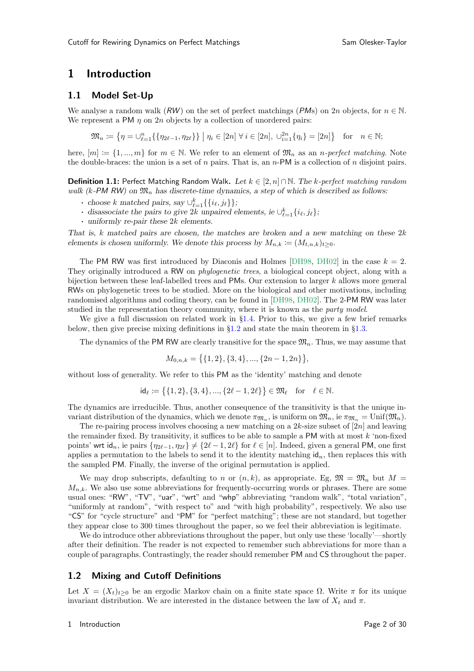## <span id="page-1-0"></span>1 Introduction

### 1.1 Model Set-Up

We analyse a random walk  $(RW)$  on the set of perfect matchings  $(PMs)$  on 2n objects, for  $n \in \mathbb{N}$ . We represent a PM  $n \text{ on } 2n$  objects by a collection of unordered pairs:

 $\mathfrak{M}_n := \{ \eta = \bigcup_{\ell=1}^n \{ \{ \eta_{2\ell-1}, \eta_{2\ell} \} \} \mid \eta_i \in [2n] \ \forall \ i \in [2n], \ \bigcup_{i=1}^{2n} \{ \eta_i \} = [2n] \} \text{ for } n \in \mathbb{N};$ 

here,  $[m] := \{1, ..., m\}$  for  $m \in \mathbb{N}$ . We refer to an element of  $\mathfrak{M}_n$  as an *n*-perfect matching. Note the double-braces: the union is a set of  $n$  pairs. That is, an  $n$ -PM is a collection of  $n$  disjoint pairs.

**Definition 1.1:** Perfect Matching Random Walk. Let  $k \in [2, n] \cap \mathbb{N}$ . The k-perfect matching random walk (k-PM RW) on  $\mathfrak{M}_n$  has discrete-time dynamics, a step of which is described as follows:

- choose k matched pairs, say  $\cup_{\ell=1}^k \{\{i_\ell, j_\ell\}\};$
- disassociate the pairs to give 2k unpaired elements, ie  $\cup_{\ell=1}^k \{i_\ell, j_\ell\};$
- · uniformly re-pair these 2k elements.

That is, k matched pairs are chosen, the matches are broken and a new matching on these  $2k$ elements is chosen uniformly. We denote this process by  $M_{n,k} := (M_{t,n,k})_{t>0}$ .

The PM RW was first introduced by Diaconis and Holmes [\[DH98,](#page-28-0) [DH02\]](#page-29-0) in the case  $k = 2$ . They originally introduced a RW on *phylogenetic trees*, a biological concept object, along with a bijection between these leaf-labelled trees and PMs. Our extension to larger  $k$  allows more general RWs on phylogenetic trees to be studied. More on the biological and other motivations, including randomised algorithms and coding theory, can be found in [\[DH98](#page-28-0), [DH02](#page-29-0)]. The 2-PM RW was later studied in the representation theory community, where it is known as the party model.

We give a full discussion on related work in §[1.4.](#page-2-0) Prior to this, we give a few brief remarks below, then give precise mixing definitions in  $\S1.2$  $\S1.2$  and state the main theorem in  $\S1.3$ .

The dynamics of the PM RW are clearly transitive for the space  $\mathfrak{M}_n$ . Thus, we may assume that

$$
M_{0,n,k} = \{ \{1,2\}, \{3,4\}, \dots, \{2n-1,2n\} \},
$$

without loss of generality. We refer to this PM as the 'identity' matching and denote

$$
\mathsf{id}_\ell \coloneqq \big\{\{1,2\},\{3,4\},...,\{2\ell-1,2\ell\}\big\} \in \mathfrak{M}_\ell \quad \text{for} \quad \ell \in \mathbb{N}.
$$

The dynamics are irreducible. Thus, another consequence of the transitivity is that the unique invariant distribution of the dynamics, which we denote  $\pi_{\mathfrak{M}_n}$ , is uniform on  $\mathfrak{M}_n$ , ie  $\pi_{\mathfrak{M}_n} = \text{Unif}(\mathfrak{M}_n)$ .

The re-pairing process involves choosing a new matching on a 2k-size subset of  $[2n]$  and leaving the remainder fixed. By transitivity, it suffices to be able to sample a PM with at most  $k$  'non-fixed points' wrt id<sub>n</sub>, ie pairs { $\eta_{2\ell-1}, \eta_{2\ell} \neq \{2\ell-1, 2\ell\}$  for  $\ell \in [n]$ . Indeed, given a general PM, one first applies a permutation to the labels to send it to the identity matching  $\mathsf{id}_n$ , then replaces this with the sampled PM. Finally, the inverse of the original permutation is applied.

We may drop subscripts, defaulting to n or  $(n, k)$ , as appropriate. Eg,  $\mathfrak{M} = \mathfrak{M}_n$  but  $M =$  $M_{n,k}$ . We also use some abbreviations for frequently-occurring words or phrases. There are some usual ones: "RW", "TV", "uar", "wrt" and "whp" abbreviating "random walk", "total variation", "uniformly at random", "with respect to" and "with high probability", respectively. We also use "CS" for "cycle structure" and "PM" for "perfect matching"; these are not standard, but together they appear close to 300 times throughout the paper, so we feel their abbreviation is legitimate.

<span id="page-1-1"></span>We do introduce other abbreviations throughout the paper, but only use these 'locally'—shortly after their definition. The reader is not expected to remember such abbreviations for more than a couple of paragraphs. Contrastingly, the reader should remember PM and CS throughout the paper.

### 1.2 Mixing and Cutoff Definitions

Let  $X = (X_t)_{t>0}$  be an ergodic Markov chain on a finite state space  $\Omega$ . Write  $\pi$  for its unique invariant distribution. We are interested in the distance between the law of  $X_t$  and  $\pi$ .

#### 1 Introduction Page 2 of 30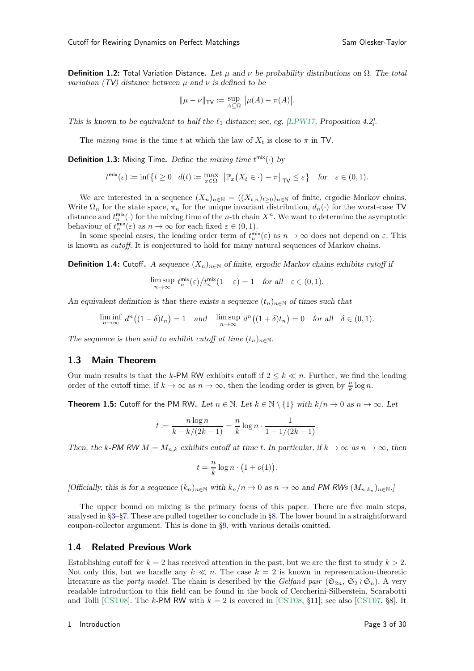**Definition 1.2:** Total Variation Distance. Let  $\mu$  and  $\nu$  be probability distributions on  $\Omega$ . The total *variation* ( $TV$ ) distance between  $\mu$  and  $\nu$  is defined to be

$$
\|\mu - \nu\|_{\mathsf{TV}} := \sup_{A \subseteq \Omega} |\mu(A) - \pi(A)|.
$$

This is known to be equivalent to half the  $\ell_1$  distance; see, eg, [\[LPW17](#page-29-2), Proposition 4.2].

The mixing time is the time t at which the law of  $X_t$  is close to  $\pi$  in TV.

**Definition 1.3:** Mixing Time. Define the mixing time  $t^{\text{mix}}(\cdot)$  by

$$
t^{\min}(\varepsilon) := \inf\left\{t \ge 0 \mid d(t) := \max_{x \in \Omega} \left\| \mathbb{P}_x(X_t \in \cdot) - \pi \right\|_{\mathsf{TV}} \le \varepsilon\right\}
$$
 for  $\varepsilon \in (0, 1)$ .

We are interested in a sequence  $(X_n)_{n\in\mathbb{N}} = ((X_{t,n})_{t>0})_{n\in\mathbb{N}}$  of finite, ergodic Markov chains. Write  $\Omega_n$  for the state space,  $\pi_n$  for the unique invariant distribution,  $d_n(\cdot)$  for the worst-case TV distance and  $t_n^{\text{mix}}(\cdot)$  for the mixing time of the *n*-th chain  $X^n$ . We want to determine the asymptotic behaviour of  $t_n^{\text{mix}}(\varepsilon)$  as  $n \to \infty$  for each fixed  $\varepsilon \in (0,1)$ .

In some special cases, the leading order term of  $t_n^{\text{mix}}(\varepsilon)$  as  $n \to \infty$  does not depend on  $\varepsilon$ . This is known as cutoff. It is conjectured to hold for many natural sequences of Markov chains.

**Definition 1.4:** Cutoff. A sequence  $(X_n)_{n\in\mathbb{N}}$  of finite, ergodic Markov chains exhibits cutoff if

$$
\limsup_{n \to \infty} t_n^{\text{mix}}(\varepsilon) / t_n^{\text{mix}}(1 - \varepsilon) = 1 \quad \text{for all} \quad \varepsilon \in (0, 1).
$$

An equivalent definition is that there exists a sequence  $(t_n)_{n\in\mathbb{N}}$  of times such that

$$
\liminf_{n \to \infty} d^n((1 - \delta)t_n) = 1 \quad \text{and} \quad \limsup_{n \to \infty} d^n((1 + \delta)t_n) = 0 \quad \text{for all} \quad \delta \in (0, 1).
$$

<span id="page-2-1"></span>The sequence is then said to exhibit cutoff at time  $(t_n)_{n\in\mathbb{N}}$ .

### 1.3 Main Theorem

<span id="page-2-2"></span>Our main results is that the k-PM RW exhibits cutoff if  $2 \leq k \ll n$ . Further, we find the leading order of the cutoff time; if  $k \to \infty$  as  $n \to \infty$ , then the leading order is given by  $\frac{n}{k} \log n$ .

**Theorem 1.5:** Cutoff for the PM RW. Let  $n \in \mathbb{N}$ . Let  $k \in \mathbb{N} \setminus \{1\}$  with  $k/n \to 0$  as  $n \to \infty$ . Let

$$
t := \frac{n \log n}{k - k/(2k - 1)} = \frac{n}{k} \log n \cdot \frac{1}{1 - 1/(2k - 1)}.
$$

Then, the k-PM RW  $M = M_{n,k}$  exhibits cutoff at time t. In particular, if  $k \to \infty$  as  $n \to \infty$ , then

$$
t = \frac{n}{k} \log n \cdot (1 + o(1)).
$$

[Officially, this is for a sequence  $(k_n)_{n \in \mathbb{N}}$  with  $k_n/n \to 0$  as  $n \to \infty$  and **PM RW**s  $(M_{n,k_n})_{n \in \mathbb{N}}$ .]

<span id="page-2-0"></span>The upper bound on mixing is the primary focus of this paper. There are five main steps, analysed in §[3–](#page-6-0)§[7.](#page-21-0) These are pulled together to conclude in §[8.](#page-26-0) The lower bound in a straightforward coupon-collector argument. This is done in §[9,](#page-27-0) with various details omitted.

#### 1.4 Related Previous Work

Establishing cutoff for  $k = 2$  has received attention in the past, but we are the first to study  $k > 2$ . Not only this, but we handle any  $k \ll n$ . The case  $k = 2$  is known in representation-theoretic literature as the party model. The chain is described by the Gelfand pair  $(\mathfrak{S}_{2n}, \mathfrak{S}_2 \wr \mathfrak{S}_n)$ . A very readable introduction to this field can be found in the book of Ceccherini-Silberstein, Scarabotti and Tolli [\[CST08\]](#page-28-2). The k-PM RW with  $k = 2$  is covered in [\[CST08,](#page-28-2) §11]; see also [\[CST07,](#page-28-1) §8]. It

#### 1 Introduction Page 3 of 30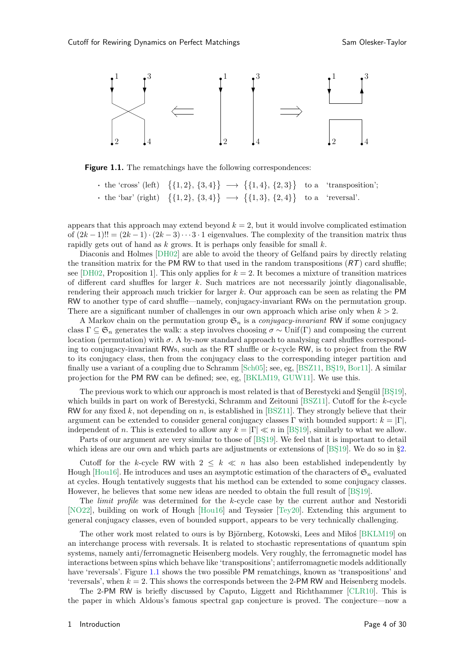<span id="page-3-0"></span>

Figure 1.1. The rematchings have the following correspondences:

• the 'cross' (left)  $\{\{1, 2\}, \{3, 4\}\} \longrightarrow \{\{1, 4\}, \{2, 3\}\}\$ 'transposition'; • the 'bar' (right)  $\{\{1, 2\}, \{3, 4\}\} \longrightarrow \{\{1, 3\}, \{2, 4\}\}\$ 'reversal'.

appears that this approach may extend beyond  $k = 2$ , but it would involve complicated estimation of  $(2k-1)!! = (2k-1) \cdot (2k-3) \cdot \cdot \cdot 3 \cdot 1$  eigenvalues. The complexity of the transition matrix thus rapidly gets out of hand as  $k$  grows. It is perhaps only feasible for small  $k$ .

Diaconis and Holmes [\[DH02\]](#page-29-0) are able to avoid the theory of Gelfand pairs by directly relating the transition matrix for the PM RW to that used in the random transpositions  $(RT)$  card shuffle; see [\[DH02,](#page-29-0) Proposition 1]. This only applies for  $k = 2$ . It becomes a mixture of transition matrices of different card shuffles for larger  $k$ . Such matrices are not necessarily jointly diagonalisable, rendering their approach much trickier for larger k. Our approach can be seen as relating the PM RW to another type of card shuffle—namely, conjugacy-invariant RWs on the permutation group. There are a significant number of challenges in our own approach which arise only when  $k > 2$ .

A Markov chain on the permutation group  $\mathfrak{S}_n$  is a *conjugacy-invariant* RW if some conjugacy class  $\Gamma \subseteq \mathfrak{S}_n$  generates the walk: a step involves choosing  $\sigma \sim \text{Unif}(\Gamma)$  and composing the current location (permutation) with  $\sigma$ . A by-now standard approach to analysing card shuffles corresponding to conjugacy-invariant RWs, such as the RT shuffle or k-cycle RW, is to project from the RW to its conjugacy class, then from the conjugacy class to the corresponding integer partition and finally use a variant of a coupling due to Schramm  $\lbrack Sch05 \rbrack$ ; see, eg,  $\lbrack BSZ11, BŞ19, Bor11 \rbrack$ . A similar projection for the PM RW can be defined; see, eg, [\[BKLM19,](#page-28-6) [GUW11](#page-29-3)]. We use this.

The previous work to which our approach is most related is that of Berestycki and Sengül [BS19], which builds in part on work of Berestycki, Schramm and Zeitouni [\[BSZ11\]](#page-28-3). Cutoff for the k-cycle RW for any fixed k, not depending on n, is established in [\[BSZ11](#page-28-3)]. They strongly believe that their argument can be extended to consider general conjugacy classes Γ with bounded support:  $k = |\Gamma|$ , independent of n. This is extended to allow any  $k = |\Gamma| \ll n$  in [BŞ19], similarly to what we allow.

Parts of our argument are very similar to those of [BS19]. We feel that it is important to detail which ideas are our own and which parts are adjustments or extensions of  $[BS19]$ . We do so in §[2.](#page-4-0)

Cutoff for the k-cycle RW with  $2 \leq k \ll n$  has also been established independently by Hough [\[Hou16\]](#page-29-4). He introduces and uses an asymptotic estimation of the characters of  $\mathfrak{S}_n$  evaluated at cycles. Hough tentatively suggests that his method can be extended to some conjugacy classes. However, he believes that some new ideas are needed to obtain the full result of [BS19].

The *limit profile* was determined for the  $k$ -cycle case by the current author and Nestoridi [\[NO22](#page-29-5)], building on work of Hough [\[Hou16\]](#page-29-4) and Teyssier [\[Tey20\]](#page-29-6). Extending this argument to general conjugacy classes, even of bounded support, appears to be very technically challenging.

The other work most related to ours is by Björnberg, Kotowski, Lees and Milos [\[BKLM19\]](#page-28-6) on an interchange process with reversals. It is related to stochastic representations of quantum spin systems, namely anti/ferromagnetic Heisenberg models. Very roughly, the ferromagnetic model has interactions between spins which behave like 'transpositions'; antiferromagnetic models additionally have 'reversals'. Figure [1.1](#page-3-0) shows the two possible PM rematchings, known as 'transpositions' and 'reversals', when  $k = 2$ . This shows the corresponds between the 2-PM RW and Heisenberg models.

The 2-PM RW is briefly discussed by Caputo, Liggett and Richthammer [\[CLR10\]](#page-28-7). This is the paper in which Aldous's famous spectral gap conjecture is proved. The conjecture—now a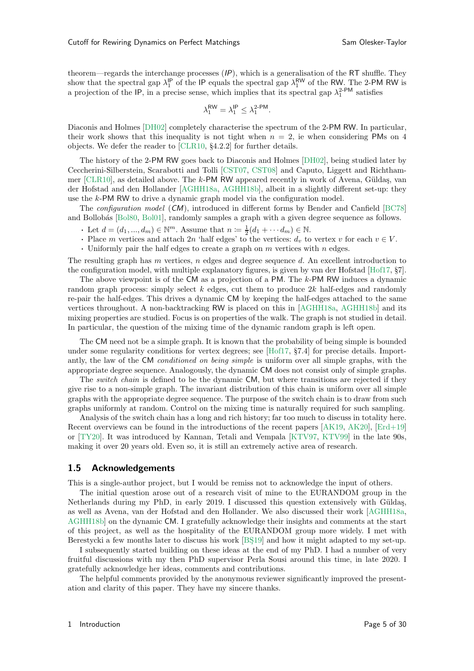theorem—regards the interchange processes (*IP*), which is a generalisation of the RT shuffle. They show that the spectral gap  $\lambda_1^{\text{IP}}$  of the IP equals the spectral gap  $\lambda_1^{\text{RW}}$  of the RW. The 2-PM RW is a projection of the IP, in a precise sense, which implies that its spectral gap  $\lambda_1^2$ -PM satisfies

$$
\lambda_1^{\sf RW} = \lambda_1^{\sf IP} \leq \lambda_1^{2\text{-PM}}.
$$

Diaconis and Holmes [\[DH02\]](#page-29-0) completely characterise the spectrum of the 2-PM RW. In particular, their work shows that this inequality is not tight when  $n = 2$ , ie when considering PMs on 4 objects. We defer the reader to [\[CLR10](#page-28-7), §4.2.2] for further details.

The history of the 2-PM RW goes back to Diaconis and Holmes [\[DH02\]](#page-29-0), being studied later by Ceccherini-Silberstein, Scarabotti and Tolli [\[CST07,](#page-28-1) [CST08\]](#page-28-2) and Caputo, Liggett and Richthammer  $[CLR10]$ , as detailed above. The k-PM RW appeared recently in work of Avena, Güldaş, van der Hofstad and den Hollander [\[AGHH18a,](#page-28-8) [AGHH18b\]](#page-28-9), albeit in a slightly different set-up: they use the k-PM RW to drive a dynamic graph model via the configuration model.

The configuration model (*CM*), introduced in different forms by Bender and Canfield [\[BC78\]](#page-28-10) and Bollobás [\[Bol80](#page-28-11), [Bol01](#page-28-12)], randomly samples a graph with a given degree sequence as follows.

- Let  $d = (d_1, ..., d_m) \in \mathbb{N}^m$ . Assume that  $n = \frac{1}{2}(d_1 + ... + d_m) \in \mathbb{N}$ .
- Place m vertices and attach 2n 'half edges' to the vertices:  $d_v$  to vertex v for each  $v \in V$ .
- Uniformly pair the half edges to create a graph on  $m$  vertices with  $n$  edges.

The resulting graph has  $m$  vertices,  $n$  edges and degree sequence  $d$ . An excellent introduction to the configuration model, with multiple explanatory figures, is given by van der Hofstad [\[Hof17,](#page-29-7) §7].

The above viewpoint is of the CM as a projection of a PM. The k-PM RW induces a dynamic random graph process: simply select  $k$  edges, cut them to produce  $2k$  half-edges and randomly re-pair the half-edges. This drives a dynamic CM by keeping the half-edges attached to the same vertices throughout. A non-backtracking RW is placed on this in [\[AGHH18a,](#page-28-8) [AGHH18b\]](#page-28-9) and its mixing properties are studied. Focus is on properties of the walk. The graph is not studied in detail. In particular, the question of the mixing time of the dynamic random graph is left open.

The CM need not be a simple graph. It is known that the probability of being simple is bounded under some regularity conditions for vertex degrees; see [\[Hof17,](#page-29-7) §7.4] for precise details. Importantly, the law of the CM conditioned on being simple is uniform over all simple graphs, with the appropriate degree sequence. Analogously, the dynamic CM does not consist only of simple graphs.

The *switch chain* is defined to be the dynamic CM, but where transitions are rejected if they give rise to a non-simple graph. The invariant distribution of this chain is uniform over all simple graphs with the appropriate degree sequence. The purpose of the switch chain is to draw from such graphs uniformly at random. Control on the mixing time is naturally required for such sampling.

Analysis of the switch chain has a long and rich history; far too much to discuss in totality here. Recent overviews can be found in the introductions of the recent papers [\[AK19,](#page-28-13) [AK20\]](#page-28-14), [\[Erd+19\]](#page-29-8) or [\[TY20](#page-29-9)]. It was introduced by Kannan, Tetali and Vempala [\[KTV97,](#page-29-10) [KTV99\]](#page-29-11) in the late 90s, making it over 20 years old. Even so, it is still an extremely active area of research.

#### 1.5 Acknowledgements

This is a single-author project, but I would be remiss not to acknowledge the input of others.

The initial question arose out of a research visit of mine to the EURANDOM group in the Netherlands during my PhD, in early 2019. I discussed this question extensively with Güldas, as well as Avena, van der Hofstad and den Hollander. We also discussed their work [\[AGHH18a,](#page-28-8) [AGHH18b\]](#page-28-9) on the dynamic CM. I gratefully acknowledge their insights and comments at the start of this project, as well as the hospitality of the EURANDOM group more widely. I met with Berestycki a few months later to discuss his work [BS19] and how it might adapted to my set-up.

I subsequently started building on these ideas at the end of my PhD. I had a number of very fruitful discussions with my then PhD supervisor Perla Sousi around this time, in late 2020. I gratefully acknowledge her ideas, comments and contributions.

<span id="page-4-0"></span>The helpful comments provided by the anonymous reviewer significantly improved the presentation and clarity of this paper. They have my sincere thanks.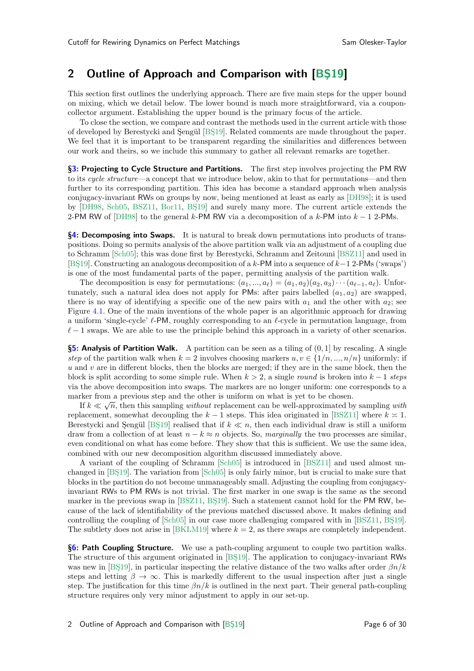## 2 Outline of Approach and Comparison with [BS19]

This section first outlines the underlying approach. There are five main steps for the upper bound on mixing, which we detail below. The lower bound is much more straightforward, via a couponcollector argument. Establishing the upper bound is the primary focus of the article.

To close the section, we compare and contrast the methods used in the current article with those of developed by Berestycki and Sengül [BS19]. Related comments are made throughout the paper. We feel that it is important to be transparent regarding the similarities and differences between our work and theirs, so we include this summary to gather all relevant remarks are together.

§[3:](#page-6-0) Projecting to Cycle Structure and Partitions. The first step involves projecting the PM RW to its *cycle structure*—a concept that we introduce below, akin to that for permutations—and then further to its corresponding partition. This idea has become a standard approach when analysis conjugacy-invariant RWs on groups by now, being mentioned at least as early as [\[DH98](#page-28-0)]; it is used by [\[DH98,](#page-28-0) [Sch05,](#page-29-1) [BSZ11](#page-28-3), [Bor11](#page-28-5), BS19] and surely many more. The current article extends the 2-PM RW of [\[DH98](#page-28-0)] to the general k-PM RW via a decomposition of a k-PM into  $k - 1$  2-PMs.

§[4:](#page-9-0) Decomposing into Swaps. It is natural to break down permutations into products of transpositions. Doing so permits analysis of the above partition walk via an adjustment of a coupling due to Schramm [\[Sch05](#page-29-1)]; this was done first by Berestycki, Schramm and Zeitouni [\[BSZ11\]](#page-28-3) and used in [BS19]. Constructing an analogous decomposition of a k-PM into a sequence of  $k-1$  2-PMs ('swaps') is one of the most fundamental parts of the paper, permitting analysis of the partition walk.

The decomposition is easy for permutations:  $(a_1, ..., a_\ell) = (a_1, a_2)(a_2, a_3) \cdots (a_{\ell-1}, a_\ell)$ . Unfortunately, such a natural idea does not apply for PMs: after pairs labelled  $(a_1, a_2)$  are swapped, there is no way of identifying a specific one of the new pairs with  $a_1$  and the other with  $a_2$ ; see Figure [4.1.](#page-10-0) One of the main inventions of the whole paper is an algorithmic approach for drawing a uniform 'single-cycle'  $\ell$ -PM, roughly corresponding to an  $\ell$ -cycle in permutation language, from  $\ell-1$  swaps. We are able to use the principle behind this approach in a variety of other scenarios.

§[5:](#page-13-0) Analysis of Partition Walk. A partition can be seen as a tiling of  $(0, 1]$  by rescaling. A single step of the partition walk when  $k = 2$  involves choosing markers  $u, v \in \{1/n, ..., n/n\}$  uniformly: if  $u$  and  $v$  are in different blocks, then the blocks are merged; if they are in the same block, then the block is split according to some simple rule. When  $k > 2$ , a single round is broken into  $k - 1$  steps via the above decomposition into swaps. The markers are no longer uniform: one corresponds to a marker from a previous step and the other is uniform on what is yet to be chosen.

If  $k \ll \sqrt{n}$ , then this sampling *without* replacement can be well-approximated by sampling *with* replacement, somewhat decoupling the  $k - 1$  steps. This idea originated in [\[BSZ11\]](#page-28-3) where  $k \geq 1$ . Berestycki and Sengül [BS19] realised that if  $k \ll n$ , then each individual draw is still a uniform draw from a collection of at least  $n - k \approx n$  objects. So, marginally the two processes are similar, even conditional on what has come before. They show that this is sufficient. We use the same idea, combined with our new decomposition algorithm discussed immediately above.

A variant of the coupling of Schramm [\[Sch05](#page-29-1)] is introduced in [\[BSZ11\]](#page-28-3) and used almost un-changed in [BS19]. The variation from [\[Sch05\]](#page-29-1) is only fairly minor, but is crucial to make sure that blocks in the partition do not become unmanageably small. Adjusting the coupling from conjugacyinvariant RWs to PM RWs is not trivial. The first marker in one swap is the same as the second marker in the previous swap in  $[BSZ11, BS19]$ . Such a statement cannot hold for the PM RW, because of the lack of identifiability of the previous matched discussed above. It makes defining and controlling the coupling of  $[Sch05]$  in our case more challenging compared with in  $[BSZ11, BS19]$ . The subtlety does not arise in  $[BKLM19]$  where  $k = 2$ , as there swaps are completely independent.

**§[6:](#page-18-0) Path Coupling Structure.** We use a path-coupling argument to couple two partition walks. The structure of this argument originated in [BS19]. The application to conjugacy-invariant RWs was new in [BS19], in particular inspecting the relative distance of the two walks after order  $\beta n/k$ steps and letting  $\beta \to \infty$ . This is markedly different to the usual inspection after just a single step. The justification for this time  $\beta n/k$  is outlined in the next part. Their general path-coupling structure requires only very minor adjustment to apply in our set-up.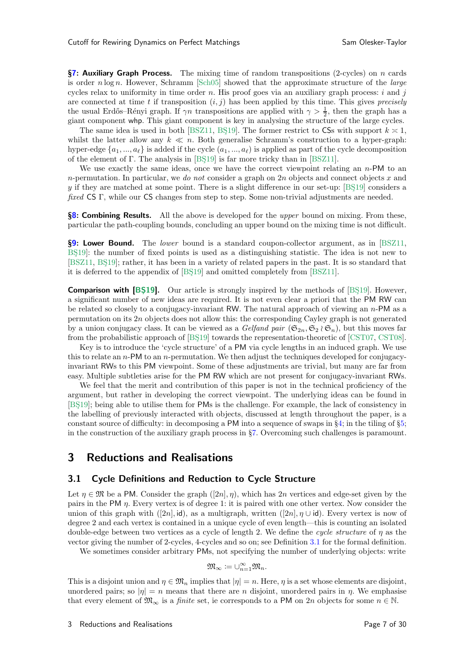§[7:](#page-21-0) Auxiliary Graph Process. The mixing time of random transpositions (2-cycles) on n cards is order  $n \log n$ . However, Schramm [\[Sch05\]](#page-29-1) showed that the approximate structure of the *large* cycles relax to uniformity in time order  $n$ . His proof goes via an auxiliary graph process:  $i$  and  $j$ are connected at time t if transposition  $(i, j)$  has been applied by this time. This gives precisely the usual Erdős–Rényi graph. If  $\gamma n$  transpositions are applied with  $\gamma > \frac{1}{2}$ , then the graph has a giant component whp. This giant component is key in analysing the structure of the large cycles.

The same idea is used in both [\[BSZ11,](#page-28-3) BS19]. The former restrict to CSs with support  $k \geq 1$ , whilst the latter allow any  $k \ll n$ . Both generalise Schramm's construction to a hyper-graph: hyper-edge  $\{a_1, ..., a_\ell\}$  is added if the cycle  $(a_1, ..., a_\ell)$  is applied as part of the cycle decomposition of the element of  $\Gamma$ . The analysis in [BS19] is far more tricky than in [\[BSZ11](#page-28-3)].

We use exactly the same ideas, once we have the correct viewpoint relating an  $n$ -PM to an n-permutation. In particular, we do not consider a graph on  $2n$  objects and connect objects x and y if they are matched at some point. There is a slight difference in our set-up:  $[BS19]$  considers a fixed CS Γ, while our CS changes from step to step. Some non-trivial adjustments are needed.

§[8:](#page-26-0) Combining Results. All the above is developed for the upper bound on mixing. From these, particular the path-coupling bounds, concluding an upper bound on the mixing time is not difficult.

**§[9:](#page-27-0) Lower Bound.** The lower bound is a standard coupon-collector argument, as in [\[BSZ11,](#page-28-3) BS19. The number of fixed points is used as a distinguishing statistic. The idea is not new to [\[BSZ11,](#page-28-3) BS19]; rather, it has been in a variety of related papers in the past. It is so standard that it is deferred to the appendix of [\[BS¸19\]](#page-28-4) and omitted completely from [\[BSZ11](#page-28-3)].

**Comparison with [BS19].** Our article is strongly inspired by the methods of [BS19]. However, a significant number of new ideas are required. It is not even clear a priori that the PM RW can be related so closely to a conjugacy-invariant RW. The natural approach of viewing an n-PM as a permutation on its 2n objects does not allow this: the corresponding Cayley graph is not generated by a union conjugacy class. It can be viewed as a Gelfand pair  $(\mathfrak{S}_{2n}, \mathfrak{S}_2 \wr \mathfrak{S}_n)$ , but this moves far from the probabilistic approach of [BS19] towards the representation-theoretic of [\[CST07](#page-28-1), [CST08\]](#page-28-2).

Key is to introduce the 'cycle structure' of a PM via cycle lengths in an induced graph. We use this to relate an n-PM to an n-permutation. We then adjust the techniques developed for conjugacyinvariant RWs to this PM viewpoint. Some of these adjustments are trivial, but many are far from easy. Multiple subtleties arise for the PM RW which are not present for conjugacy-invariant RWs.

We feel that the merit and contribution of this paper is not in the technical proficiency of the argument, but rather in developing the correct viewpoint. The underlying ideas can be found in [BS19]; being able to utilise them for PMs is the challenge. For example, the lack of consistency in the labelling of previously interacted with objects, discussed at length throughout the paper, is a constant source of difficulty: in decomposing a PM into a sequence of swaps in §[4;](#page-9-0) in the tiling of §[5;](#page-13-0) in the construction of the auxiliary graph process in §[7.](#page-21-0) Overcoming such challenges is paramount.

## <span id="page-6-0"></span>3 Reductions and Realisations

### 3.1 Cycle Definitions and Reduction to Cycle Structure

Let  $\eta \in \mathfrak{M}$  be a PM. Consider the graph  $([2n], \eta)$ , which has  $2n$  vertices and edge-set given by the pairs in the PM  $\eta$ . Every vertex is of degree 1: it is paired with one other vertex. Now consider the union of this graph with ([2n], id), as a multigraph, written ([2n],  $\eta \cup id$ ). Every vertex is now of degree 2 and each vertex is contained in a unique cycle of even length—this is counting an isolated double-edge between two vertices as a cycle of length 2. We define the cycle structure of  $\eta$  as the vector giving the number of 2-cycles, 4-cycles and so on; see Definition [3.1](#page-6-1) for the formal definition.

We sometimes consider arbitrary PMs, not specifying the number of underlying objects: write

$$
\mathfrak{M}_{\infty} \coloneqq \cup_{n=1}^{\infty} \mathfrak{M}_n.
$$

<span id="page-6-1"></span>This is a disjoint union and  $\eta \in \mathfrak{M}_n$  implies that  $|\eta| = n$ . Here,  $\eta$  is a set whose elements are disjoint, unordered pairs; so  $|\eta| = n$  means that there are n disjoint, unordered pairs in  $\eta$ . We emphasise that every element of  $\mathfrak{M}_{\infty}$  is a *finite* set, ie corresponds to a PM on 2n objects for some  $n \in \mathbb{N}$ .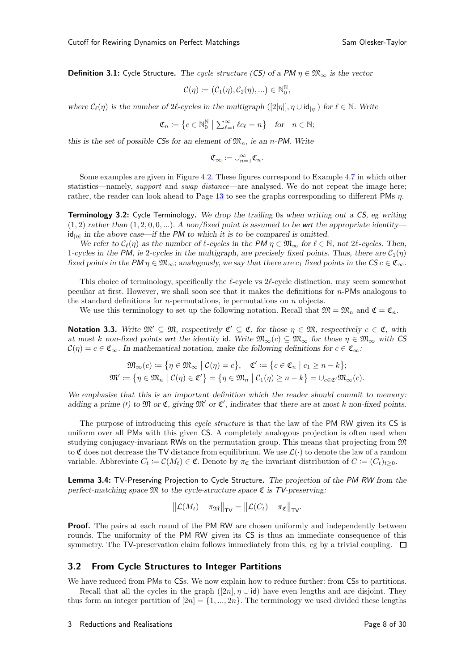**Definition 3.1:** Cycle Structure. The cycle structure (CS) of a *PM*  $\eta \in \mathfrak{M}_{\infty}$  is the vector

$$
\mathcal{C}(\eta) := (\mathcal{C}_1(\eta), \mathcal{C}_2(\eta), \ldots) \in \mathbb{N}_0^{\mathbb{N}},
$$

where  $\mathcal{C}_{\ell}(\eta)$  is the number of  $2\ell$ -cycles in the multigraph  $([2|\eta|], \eta \cup id_{|\eta|})$  for  $\ell \in \mathbb{N}$ . Write

$$
\mathfrak{C}_n := \left\{ c \in \mathbb{N}_0^{\mathbb{N}} \; \middle| \; \sum_{\ell=1}^{\infty} \ell c_{\ell} = n \right\} \quad \text{for} \quad n \in \mathbb{N};
$$

this is the set of possible  $CSs$  for an element of  $\mathfrak{M}_n$ , ie an *n*-PM. Write

$$
\mathfrak{C}_\infty\coloneqq \cup_{n=1}^\infty \mathfrak{C}_n.
$$

Some examples are given in Figure [4.2.](#page-12-0) These figures correspond to Example [4.7](#page-11-0) in which other statistics—namely, *support* and *swap distance*—are analysed. We do not repeat the image here; rather, the reader can look ahead to Page [13](#page-12-0) to see the graphs corresponding to different PMs  $\eta$ .

Terminology 3.2: Cycle Terminology. We drop the trailing 0s when writing out a *CS*, eg writing  $(1, 2)$  rather than  $(1, 2, 0, 0, ...)$ . A non/fixed point is assumed to be wrt the appropriate identity—  $\mathsf{id}_{|\eta|}$  in the above case—if the *PM* to which it is to be compared is omitted.

We refer to  $\mathcal{C}_{\ell}(\eta)$  as the number of  $\ell$ -cycles in the PM  $\eta \in \mathfrak{M}_{\infty}$  for  $\ell \in \mathbb{N}$ , not  $2\ell$ -cycles. Then, 1-cycles in the *PM*, ie 2-cycles in the multigraph, are precisely fixed points. Thus, there are  $C_1(\eta)$ fixed points in the  $PM \eta \in \mathfrak{M}_{\infty}$ ; analogously, we say that there are  $c_1$  fixed points in the  $CS \subset \mathfrak{C}_{\infty}$ .

This choice of terminology, specifically the  $\ell$ -cycle vs  $2\ell$ -cycle distinction, may seem somewhat peculiar at first. However, we shall soon see that it makes the definitions for n-PMs analogous to the standard definitions for *n*-permutations, ie permutations on *n* objects.

We use this terminology to set up the following notation. Recall that  $\mathfrak{M} = \mathfrak{M}_n$  and  $\mathfrak{C} = \mathfrak{C}_n$ .

Notation 3.3. Write  $\mathfrak{M}' \subseteq \mathfrak{M}$ , respectively  $\mathfrak{C}' \subseteq \mathfrak{C}$ , for those  $\eta \in \mathfrak{M}$ , respectively  $c \in \mathfrak{C}$ , with at most k non-fixed points wrt the identity id. Write  $\mathfrak{M}_{\infty}(c) \subseteq \mathfrak{M}_{\infty}$  for those  $\eta \in \mathfrak{M}_{\infty}$  with CS  $\mathcal{C}(\eta) = c \in \mathfrak{C}_{\infty}$ . In mathematical notation, make the following definitions for  $c \in \mathfrak{C}_{\infty}$ :

$$
\mathfrak{M}_{\infty}(c) := \{ \eta \in \mathfrak{M}_{\infty} \mid \mathcal{C}(\eta) = c \}, \quad \mathfrak{C}' := \{ c \in \mathfrak{C}_n \mid c_1 \geq n - k \};
$$
  

$$
\mathfrak{M}' := \{ \eta \in \mathfrak{M}_n \mid \mathcal{C}(\eta) \in \mathfrak{C}' \} = \{ \eta \in \mathfrak{M}_n \mid \mathcal{C}_1(\eta) \geq n - k \} = \cup_{c \in \mathfrak{C}'} \mathfrak{M}_{\infty}(c).
$$

We emphasise that this is an important definition which the reader should commit to memory: adding a prime (*t*) to  $\mathfrak{M}$  or  $\mathfrak{C}$ , giving  $\mathfrak{M}'$  or  $\mathfrak{C}'$ , indicates that there are at most k non-fixed points.

The purpose of introducing this cycle structure is that the law of the PM RW given its CS is uniform over all PMs with this given CS. A completely analogous projection is often used when studying conjugacy-invariant RWs on the permutation group. This means that projecting from  $\mathfrak{M}$ to  $\mathfrak C$  does not decrease the TV distance from equilibrium. We use  $\mathcal L(\cdot)$  to denote the law of a random variable. Abbreviate  $C_t := \mathcal{C}(M_t) \in \mathfrak{C}$ . Denote by  $\pi_{\mathfrak{C}}$  the invariant distribution of  $C := (C_t)_{t \geq 0}$ .

<span id="page-7-0"></span>Lemma 3.4: TV-Preserving Projection to Cycle Structure. The projection of the *PM RW* from the perfect-matching space  $\mathfrak{M}$  to the cycle-structure space  $\mathfrak{C}$  is **TV**-preserving:

$$
\left\|\mathcal{L}(M_t)-\pi_{\mathfrak{M}}\right\|_{\mathsf{TV}}=\left\|\mathcal{L}(C_t)-\pi_{\mathfrak{C}}\right\|_{\mathsf{TV}}.
$$

**Proof.** The pairs at each round of the PM RW are chosen uniformly and independently between rounds. The uniformity of the PM RW given its CS is thus an immediate consequence of this symmetry. The TV-preservation claim follows immediately from this, eg by a trivial coupling.  $\Box$ 

#### 3.2 From Cycle Structures to Integer Partitions

We have reduced from PMs to CSs. We now explain how to reduce further: from CSs to partitions.

Recall that all the cycles in the graph  $([2n], \eta \cup id)$  have even lengths and are disjoint. They thus form an integer partition of  $[2n] = \{1, ..., 2n\}$ . The terminology we used divided these lengths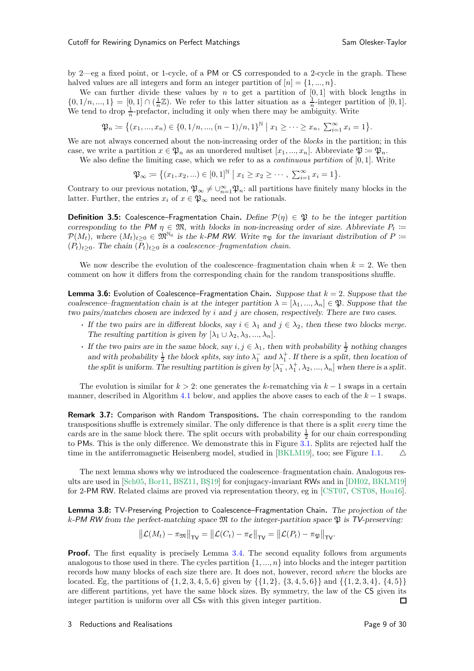by 2—eg a fixed point, or 1-cycle, of a PM or CS corresponded to a 2-cycle in the graph. These halved values are all integers and form an integer partition of  $[n] = \{1, ..., n\}$ .

We can further divide these values by  $n$  to get a partition of  $[0,1]$  with block lengths in  $\{0, 1/n, ..., 1\} = [0, 1] \cap (\frac{1}{n}\mathbb{Z})$ . We refer to this latter situation as a  $\frac{1}{n}$ -integer partition of [0, 1]. We tend to drop  $\frac{1}{n}$ -prefactor, including it only when there may be ambiguity. Write

$$
\mathfrak{P}_n \coloneqq \big\{ (x_1, ..., x_n) \in \{0, 1/n, ..., (n-1)/n, 1\}^{\mathbb{N}} \mid x_1 \geq \cdots \geq x_n, \ \sum_{i=1}^{\infty} x_i = 1 \big\}.
$$

We are not always concerned about the non-increasing order of the *blocks* in the partition; in this case, we write a partition  $x \in \mathfrak{P}_n$  as an unordered multiset  $[x_1, ..., x_n]$ . Abbreviate  $\mathfrak{P} := \mathfrak{P}_n$ .

We also define the limiting case, which we refer to as a *continuous partition* of  $[0, 1]$ . Write

$$
\mathfrak{P}_{\infty} := \{(x_1, x_2, \ldots) \in [0, 1]^{\mathbb{N}} \mid x_1 \ge x_2 \ge \cdots, \sum_{i=1}^{\infty} x_i = 1\}.
$$

Contrary to our previous notation,  $\mathfrak{P}_{\infty} \neq \bigcup_{n=1}^{\infty} \mathfrak{P}_n$ : all partitions have finitely many blocks in the latter. Further, the entries  $x_i$  of  $x \in \mathfrak{P}_{\infty}$  need not be rationals.

**Definition 3.5:** Coalescence–Fragmentation Chain. Define  $\mathcal{P}(\eta) \in \mathfrak{P}$  to be the integer partition corresponding to the PM  $\eta \in \mathfrak{M}$ , with blocks in non-increasing order of size. Abbreviate  $P_t :=$  $P(M_t)$ , where  $(M_t)_{t\geq 0} \in \mathfrak{M}^{\mathbb{N}_0}$  is the k-PM RW. Write  $\pi_{\mathfrak{P}}$  for the invariant distribution of  $P :=$  $(P_t)_{t\geq0}$ . The chain  $(\bar{P}_t)_{t\geq0}$  is a coalescence–fragmentation chain.

We now describe the evolution of the coalescence–fragmentation chain when  $k = 2$ . We then comment on how it differs from the corresponding chain for the random transpositions shuffle.

**Lemma 3.6:** Evolution of Coalescence–Fragmentation Chain. Suppose that  $k = 2$ . Suppose that the coalescence–fragmentation chain is at the integer partition  $\lambda = [\lambda_1, ..., \lambda_n] \in \mathfrak{P}$ . Suppose that the two pairs/matches chosen are indexed by i and j are chosen, respectively. There are two cases.

- If the two pairs are in different blocks, say  $i \in \lambda_1$  and  $j \in \lambda_2$ , then these two blocks merge. The resulting partition is given by  $[\lambda_1 \cup \lambda_2, \lambda_3, ..., \lambda_n].$
- If the two pairs are in the same block, say  $i, j \in \lambda_1$ , then with probability  $\frac{1}{2}$  nothing changes and with probability  $\frac{1}{2}$  the block splits, say into  $\lambda_1^-$  and  $\lambda_1^+$ . If there is a split, then location of the split is uniform. The resulting partition is given by  $[\lambda_1^-,\lambda_1^+,\lambda_2,...,\lambda_n]$  when there is a split.

The evolution is similar for  $k > 2$ : one generates the k-rematching via  $k - 1$  swaps in a certain manner, described in Algorithm [4.1](#page-9-1) below, and applies the above cases to each of the  $k-1$  swaps.

Remark 3.7: Comparison with Random Transpositions. The chain corresponding to the random transpositions shuffle is extremely similar. The only difference is that there is a split every time the cards are in the same block there. The split occurs with probability  $\frac{1}{2}$  for our chain corresponding to PMs. This is the only difference. We demonstrate this in Figure [3.1.](#page-9-2) Splits are rejected half the time in the antiferromagnetic Heisenberg model, studied in [\[BKLM19\]](#page-28-6), too; see Figure [1.1.](#page-3-0)  $\triangle$ 

The next lemma shows why we introduced the coalescence–fragmentation chain. Analogous res-ults are used in [\[Sch05,](#page-29-1) [Bor11](#page-28-5), [BSZ11](#page-28-3), BS19] for conjugacy-invariant RWs and in [\[DH02,](#page-29-0) [BKLM19\]](#page-28-6) for 2-PM RW. Related claims are proved via representation theory, eg in [\[CST07](#page-28-1), [CST08,](#page-28-2) [Hou16\]](#page-29-4).

Lemma 3.8: TV-Preserving Projection to Coalescence–Fragmentation Chain. The projection of the k-PM RW from the perfect-matching space  $\mathfrak{M}$  to the integer-partition space  $\mathfrak{P}$  is  $\mathsf{TV}\text{-}preserving$ :

$$
\left\|\mathcal{L}(M_t)-\pi_{\mathfrak{M}}\right\|_{\mathsf{TV}}=\left\|\mathcal{L}(C_t)-\pi_{\mathfrak{C}}\right\|_{\mathsf{TV}}=\left\|\mathcal{L}(P_t)-\pi_{\mathfrak{P}}\right\|_{\mathsf{TV}}.
$$

**Proof.** The first equality is precisely Lemma [3.4.](#page-7-0) The second equality follows from arguments analogous to those used in there. The cycles partition  $\{1, ..., n\}$  into blocks and the integer partition records how many blocks of each size there are. It does not, however, record where the blocks are located. Eg, the partitions of  $\{1, 2, 3, 4, 5, 6\}$  given by  $\{\{1, 2\}, \{3, 4, 5, 6\}\}$  and  $\{\{1, 2, 3, 4\}, \{4, 5\}\}$ are different partitions, yet have the same block sizes. By symmetry, the law of the CS given its integer partition is uniform over all CSs with this given integer partition.  $\Box$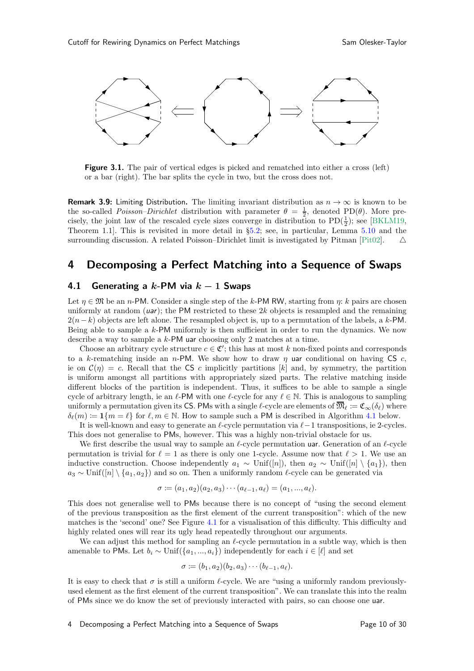<span id="page-9-2"></span>

Figure 3.1. The pair of vertical edges is picked and rematched into either a cross (left) or a bar (right). The bar splits the cycle in two, but the cross does not.

**Remark 3.9:** Limiting Distribution. The limiting invariant distribution as  $n \to \infty$  is known to be the so-called *Poisson–Dirichlet* distribution with parameter  $\theta = \frac{1}{2}$ , denoted PD( $\theta$ ). More precisely, the joint law of the rescaled cycle sizes converge in distribution to  $PD(\frac{1}{2})$ ; see [\[BKLM19,](#page-28-6) Theorem 1.1]. This is revisited in more detail in §[5.2;](#page-14-0) see, in particular, Lemma [5.10](#page-15-0) and the surrounding discussion. A related Poisson–Dirichlet limit is investigated by Pitman [\[Pit02](#page-29-12)].  $\triangle$ 

## <span id="page-9-0"></span>4 Decomposing a Perfect Matching into a Sequence of Swaps

### <span id="page-9-3"></span>4.1 Generating a  $k$ -PM via  $k-1$  Swaps

Let  $\eta \in \mathfrak{M}$  be an *n*-PM. Consider a single step of the k-PM RW, starting from  $\eta$ : k pairs are chosen uniformly at random  $(uar)$ ; the PM restricted to these  $2k$  objects is resampled and the remaining  $2(n-k)$  objects are left alone. The resampled object is, up to a permutation of the labels, a k-PM. Being able to sample a  $k$ -PM uniformly is then sufficient in order to run the dynamics. We now describe a way to sample a  $k$ -PM uar choosing only 2 matches at a time.

Choose an arbitrary cycle structure  $c \in \mathfrak{C}'$ ; this has at most k non-fixed points and corresponds to a k-rematching inside an n-PM. We show how to draw  $\eta$  uar conditional on having CS c, ie on  $\mathcal{C}(\eta) = c$ . Recall that the CS c implicitly partitions [k] and, by symmetry, the partition is uniform amongst all partitions with appropriately sized parts. The relative matching inside different blocks of the partition is independent. Thus, it suffices to be able to sample a single cycle of arbitrary length, ie an  $\ell$ -PM with one  $\ell$ -cycle for any  $\ell \in \mathbb{N}$ . This is analogous to sampling uniformly a permutation given its CS. PMs with a single  $\ell$ -cycle are elements of  $\mathfrak{M}_{\ell} \coloneqq \mathfrak{C}_{\infty}(\delta_{\ell})$  where  $\delta_{\ell}(m) := \mathbf{1}\{m = \ell\}$  for  $\ell, m \in \mathbb{N}$ . How to sample such a PM is described in Algorithm [4.1](#page-9-1) below.

It is well-known and easy to generate an  $\ell$ -cycle permutation via  $\ell-1$  transpositions, ie 2-cycles. This does not generalise to PMs, however. This was a highly non-trivial obstacle for us.

We first describe the usual way to sample an  $\ell$ -cycle permutation uar. Generation of an  $\ell$ -cycle permutation is trivial for  $\ell = 1$  as there is only one 1-cycle. Assume now that  $\ell > 1$ . We use an inductive construction. Choose independently  $a_1 \sim \text{Unif}([n])$ , then  $a_2 \sim \text{Unif}([n] \setminus \{a_1\})$ , then  $a_3 \sim \text{Unif}([n] \setminus \{a_1, a_2\})$  and so on. Then a uniformly random  $\ell$ -cycle can be generated via

$$
\sigma := (a_1, a_2)(a_2, a_3) \cdots (a_{\ell-1}, a_{\ell}) = (a_1, ..., a_{\ell}).
$$

This does not generalise well to PMs because there is no concept of "using the second element of the previous transposition as the first element of the current transposition": which of the new matches is the 'second' one? See Figure [4.1](#page-10-0) for a visualisation of this difficulty. This difficulty and highly related ones will rear its ugly head repeatedly throughout our arguments.

We can adjust this method for sampling an  $\ell$ -cycle permutation in a subtle way, which is then amenable to PMs. Let  $b_i \sim \text{Unif}(\{a_1, ..., a_i\})$  independently for each  $i \in [\ell]$  and set

$$
\sigma := (b_1, a_2)(b_2, a_3) \cdots (b_{\ell-1}, a_{\ell}).
$$

<span id="page-9-1"></span>It is easy to check that  $\sigma$  is still a uniform  $\ell$ -cycle. We are "using a uniformly random previouslyused element as the first element of the current transposition". We can translate this into the realm of PMs since we do know the set of previously interacted with pairs, so can choose one uar.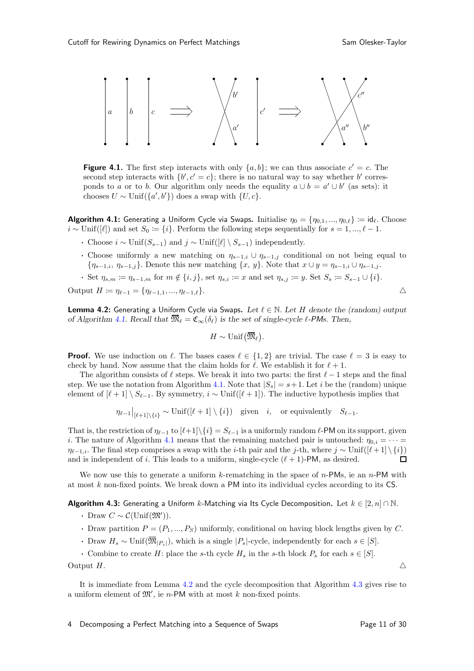<span id="page-10-0"></span>

**Figure 4.1.** The first step interacts with only  $\{a, b\}$ ; we can thus associate  $c' = c$ . The second step interacts with  $\{b', c' = c\}$ ; there is no natural way to say whether b' corresponds to a or to b. Our algorithm only needs the equality  $a \cup b = a' \cup b'$  (as sets): it chooses  $U \sim \text{Unif}(\{a', b'\})$  does a swap with  $\{U, c\}.$ 

**Algorithm 4.1:** Generating a Uniform Cycle via Swaps. Initialise  $\eta_0 = \{\eta_{0,1},...,\eta_{0,\ell}\} := \mathsf{id}_{\ell}$ . Choose  $i \sim \text{Unif}([\ell])$  and set  $S_0 := \{i\}$ . Perform the following steps sequentially for  $s = 1, ..., \ell - 1$ .

- Choose  $i \sim \text{Unif}(S_{s-1})$  and  $j \sim \text{Unif}([\ell] \setminus S_{s-1})$  independently.
- Choose uniformly a new matching on  $\eta_{s-1,i} \cup \eta_{s-1,j}$  conditional on not being equal to  ${\eta_{s-1,i}, \eta_{s-1,j}}$ . Denote this new matching  ${x, y}$ . Note that  $x \cup y = {\eta_{s-1,i}} \cup {\eta_{s-1,j}}$ .
- Set  $\eta_{s,m} := \eta_{s-1,m}$  for  $m \notin \{i, j\}$ , set  $\eta_{s,i} := x$  and set  $\eta_{s,j} := y$ . Set  $S_s := S_{s-1} \cup \{i\}$ .

Output  $H := \eta_{\ell-1} = \{\eta_{\ell-1,1},...,\eta_{\ell-1,\ell}\}.$   $\triangle$ 

<span id="page-10-1"></span>**Lemma 4.2:** Generating a Uniform Cycle via Swaps. Let  $\ell \in \mathbb{N}$ . Let H denote the (random) output of Algorithm [4.1.](#page-9-1) Recall that  $\overline{\mathfrak{M}}_{\ell} = \mathfrak{C}_{\infty}(\delta_{\ell})$  is the set of single-cycle  $\ell$ -*PMs*. Then,

$$
H\sim \mathrm{Unif}\big(\overline{\mathfrak{M}}_\ell\big).
$$

**Proof.** We use induction on  $\ell$ . The bases cases  $\ell \in \{1,2\}$  are trivial. The case  $\ell = 3$  is easy to check by hand. Now assume that the claim holds for  $\ell$ . We establish it for  $\ell + 1$ .

The algorithm consists of  $\ell$  steps. We break it into two parts: the first  $\ell-1$  steps and the final step. We use the notation from Algorithm [4.1.](#page-9-1) Note that  $|S_s| = s + 1$ . Let i be the (random) unique element of  $[\ell+1] \setminus S_{\ell-1}$ . By symmetry,  $i \sim \text{Unif}([\ell+1])$ . The inductive hypothesis implies that

$$
\eta_{\ell-1}|_{[\ell+1]\setminus\{i\}} \sim \text{Unif}([\ell+1] \setminus \{i\}) \quad \text{given} \quad i, \quad \text{or equivalently} \quad S_{\ell-1}.
$$

That is, the restriction of  $\eta_{\ell-1}$  to  $[\ell+1]\setminus\{i\} = S_{\ell-1}$  is a uniformly random  $\ell$ -PM on its support, given i. The nature of Algorithm [4.1](#page-9-1) means that the remaining matched pair is untouched:  $\eta_{0,i} = \cdots =$  $\eta_{\ell-1,i}$ . The final step comprises a swap with the *i*-th pair and the *j*-th, where  $j \sim \text{Unif}([\ell+1] \setminus \{i\})$  and is independent of *i*. This leads to a uniform, single-cycle  $(\ell+1)$ -PM, as desired. and is independent of i. This leads to a uniform, single-cycle  $(\ell + 1)$ -PM, as desired.

<span id="page-10-2"></span>We now use this to generate a uniform  $k$ -rematching in the space of  $n$ -PMs, ie an  $n$ -PM with at most k non-fixed points. We break down a PM into its individual cycles according to its CS.

**Algorithm 4.3:** Generating a Uniform k-Matching via Its Cycle Decomposition. Let  $k \in [2, n] \cap \mathbb{N}$ .

- Draw  $C \sim \mathcal{C}(\text{Unif}(\mathfrak{M}'))$ .
- Draw partition  $P = (P_1, ..., P_S)$  uniformly, conditional on having block lengths given by C.
- Draw  $H_s \sim \text{Unif}(\overline{\mathfrak{M}}_{|P_s|})$ , which is a single  $|P_s|$ -cycle, independently for each  $s \in [S]$ .
- Combine to create H: place the s-th cycle  $H_s$  in the s-th block  $P_s$  for each  $s \in [S]$ .

Output H.  $\triangle$ 

It is immediate from Lemma [4.2](#page-10-1) and the cycle decomposition that Algorithm [4.3](#page-10-2) gives rise to a uniform element of  $\mathfrak{M}'$ , ie n-PM with at most k non-fixed points.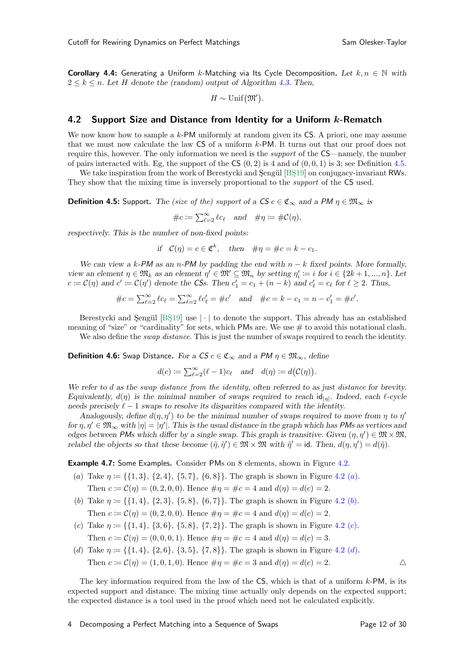**Corollary 4.4:** Generating a Uniform k-Matching via Its Cycle Decomposition. Let  $k, n \in \mathbb{N}$  with  $2 \leq k \leq n$ . Let H denote the (random) output of Algorithm [4.3.](#page-10-2) Then,

$$
H \sim \mathrm{Unif}\big(\mathfrak{M}'\big).
$$

### 4.2 Support Size and Distance from Identity for a Uniform k-Rematch

We now know how to sample a  $k$ -PM uniformly at random given its  $\mathsf{CS}$ . A priori, one may assume that we must now calculate the law CS of a uniform k-PM. It turns out that our proof does not require this, however. The only information we need is the support of the CS—namely, the number of pairs interacted with. Eg, the support of the  $\mathsf{CS}(0,2)$  is 4 and of  $(0,0,1)$  is 3; see Definition [4.5.](#page-11-1)

<span id="page-11-1"></span>We take inspiration from the work of Berestycki and Sengül [BS19] on conjugacy-invariant RWs. They show that the mixing time is inversely proportional to the support of the CS used.

**Definition 4.5:** Support. The (size of the) support of a  $CS$   $c \in \mathfrak{C}_{\infty}$  and a  $PM \eta \in \mathfrak{M}_{\infty}$  is

$$
\#c \coloneqq \sum_{\ell=2}^{\infty} \ell c_{\ell} \quad \text{and} \quad \# \eta \coloneqq \# \mathcal{C}(\eta),
$$

respectively. This is the number of non-fixed points:

if 
$$
\mathcal{C}(\eta) = c \in \mathfrak{C}^k
$$
, then  $\#\eta = \#c = k - c_1$ .

We can view a k-PM as an n-PM by padding the end with  $n - k$  fixed points. More formally, view an element  $\eta \in \mathfrak{M}_k$  as an element  $\eta' \in \mathfrak{M}' \subseteq \mathfrak{M}_n$  by setting  $\eta'_i := i$  for  $i \in \{2k+1, ..., n\}$ . Let  $c \coloneqq \mathcal{C}(\eta)$  and  $c' \coloneqq \mathcal{C}(\eta')$  denote the *CSs*. Then  $c'_1 = c_1 + (n - k)$  and  $c'_\ell = c_\ell$  for  $\ell \geq 2$ . Thus,

$$
\#c = \sum_{\ell=2}^{\infty} \ell c_{\ell} = \sum_{\ell=2}^{\infty} \ell c'_{\ell} = \#c' \quad \text{and} \quad \#c = k - c_1 = n - c'_1 = \#c'.
$$

Berestycki and Sengül [BS19] use  $|\cdot|$  to denote the support. This already has an established meaning of "size" or "cardinality" for sets, which PMs are. We use  $\#$  to avoid this notational clash.

We also define the *swap distance*. This is just the number of swaps required to reach the identity.

**Definition 4.6:** Swap Distance. For a  $CS$   $c \in \mathfrak{C}_{\infty}$  and a PM  $\eta \in \mathfrak{M}_{\infty}$ , define

$$
d(c) := \sum_{\ell=2}^{\infty} (\ell-1)c_{\ell}
$$
 and  $d(\eta) := d(C(\eta)).$ 

We refer to d as the swap distance from the identity, often referred to as just distance for brevity. Equivalently,  $d(\eta)$  is the minimal number of swaps required to reach  $\mathbf{id}_{|\eta|}$ . Indeed, each  $\ell$ -cycle needs precisely  $\ell - 1$  swaps to resolve its disparities compared with the identity.

Analogously, define  $d(\eta, \eta')$  to be the minimal number of swaps required to move from  $\eta$  to  $\eta'$ for  $\eta, \eta' \in \mathfrak{M}_{\infty}$  with  $|\eta| = |\eta'|$ . This is the usual distance in the graph which has *PMs* as vertices and edges between *PMs* which differ by a single swap. This graph is transitive. Given  $(\eta, \eta') \in \mathfrak{M} \times \mathfrak{M}$ , relabel the objects so that these become  $(\tilde{\eta}, \tilde{\eta}') \in \mathfrak{M} \times \mathfrak{M}$  with  $\tilde{\eta}' = id$ . Then,  $d(\eta, \eta') = d(\tilde{\eta})$ .

<span id="page-11-2"></span><span id="page-11-0"></span>**Example 4.7:** Some Examples. Consider PMs on 8 elements, shown in Figure [4.2.](#page-12-0)

- (a) Take  $\eta := \{\{1, 3\}, \{2, 4\}, \{5, 7\}, \{6, 8\}\}\$ . The graph is shown in Figure [4.2 \(](#page-12-0)a). Then  $c := \mathcal{C}(\eta) = (0, 2, 0, 0)$ . Hence  $\#\eta = \#c = 4$  and  $d(\eta) = d(c) = 2$ .
- <span id="page-11-3"></span>(b) Take  $\eta := \{\{1, 4\}, \{2, 3\}, \{5, 8\}, \{6, 7\}\}\.$  The graph is shown in Figure [4.2 \(](#page-12-0)b). Then  $c := \mathcal{C}(\eta) = (0, 2, 0, 0)$ . Hence  $\#\eta = \#c = 4$  and  $d(\eta) = d(c) = 2$ .
- <span id="page-11-4"></span>(c) Take  $\eta := \{ \{1, 4\}, \{3, 6\}, \{5, 8\}, \{7, 2\} \}$ . The graph is shown in Figure [4.2 \(](#page-12-0)c). Then  $c := \mathcal{C}(\eta) = (0, 0, 0, 1)$ . Hence  $\#\eta = \#c = 4$  and  $d(\eta) = d(c) = 3$ .
- <span id="page-11-5"></span>(d) Take  $\eta := \{\{1, 4\}, \{2, 6\}, \{3, 5\}, \{7, 8\}\}\.$  The graph is shown in Figure [4.2 \(](#page-12-0)d). Then  $c := \mathcal{C}(\eta) = (1, 0, 1, 0)$ . Hence  $\# \eta = \# c = 3$  and  $d(\eta) = d(c) = 2$ .

<span id="page-11-6"></span>The key information required from the law of the  $\mathsf{CS}\xspace$ , which is that of a uniform k-PM, is its expected support and distance. The mixing time actually only depends on the expected support; the expected distance is a tool used in the proof which need not be calculated explicitly.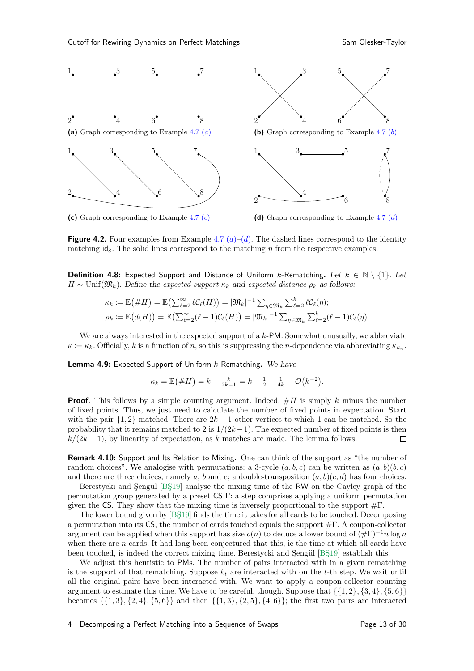<span id="page-12-0"></span>

**Figure 4.2.** Four examples from Example [4.7](#page-11-0)  $(a)-(d)$  $(a)-(d)$  $(a)-(d)$ . The dashed lines correspond to the identity matching  $\mathbf{id}_8$ . The solid lines correspond to the matching  $\eta$  from the respective examples.

**Definition 4.8:** Expected Support and Distance of Uniform k-Rematching. Let  $k \in \mathbb{N} \setminus \{1\}$ . Let  $H \sim \text{Unif}(\mathfrak{M}_k)$ . Define the expected support  $\kappa_k$  and expected distance  $\rho_k$  as follows:

$$
\kappa_k := \mathbb{E}(\#H) = \mathbb{E}\left(\sum_{\ell=2}^{\infty} \ell C_{\ell}(H)\right) = |\mathfrak{M}_k|^{-1} \sum_{\eta \in \mathfrak{M}_k} \sum_{\ell=2}^k \ell C_{\ell}(\eta);
$$
  

$$
\rho_k := \mathbb{E}\big(d(H)\big) = \mathbb{E}\big(\sum_{\ell=2}^{\infty} (\ell-1)C_{\ell}(H)\big) = |\mathfrak{M}_k|^{-1} \sum_{\eta \in \mathfrak{M}_k} \sum_{\ell=2}^k (\ell-1)C_{\ell}(\eta).
$$

<span id="page-12-2"></span>We are always interested in the expected support of a  $k$ -PM. Somewhat unusually, we abbreviate  $\kappa \coloneqq \kappa_k$ . Officially, k is a function of n, so this is suppressing the n-dependence via abbreviating  $\kappa_{k_n}$ .

**Lemma 4.9:** Expected Support of Uniform  $k$ -Rematching. We have

$$
\kappa_k = \mathbb{E}(\#H) = k - \frac{k}{2k-1} = k - \frac{1}{2} - \frac{1}{4k} + \mathcal{O}(k^{-2}).
$$

**Proof.** This follows by a simple counting argument. Indeed,  $#H$  is simply k minus the number of fixed points. Thus, we just need to calculate the number of fixed points in expectation. Start with the pair  $\{1,2\}$  matched. There are  $2k-1$  other vertices to which 1 can be matched. So the probability that it remains matched to 2 is  $1/(2k-1)$ . The expected number of fixed points is then  $k/(2k-1)$ , by linearity of expectation, as k matches are made. The lemma follows.  $k/(2k-1)$ , by linearity of expectation, as k matches are made. The lemma follows.

<span id="page-12-1"></span>Remark 4.10: Support and Its Relation to Mixing. One can think of the support as "the number of random choices". We analogise with permutations: a 3-cycle  $(a, b, c)$  can be written as  $(a, b)(b, c)$ and there are three choices, namely a, b and c; a double-transposition  $(a, b)(c, d)$  has four choices.

Berestycki and Sengül [BS19] analyse the mixing time of the RW on the Cayley graph of the permutation group generated by a preset CS Γ: a step comprises applying a uniform permutation given the CS. They show that the mixing time is inversely proportional to the support  $\#\Gamma$ .

The lower bound given by [BS19] finds the time it takes for all cards to be touched. Decomposing a permutation into its  $\mathsf{CS}$ , the number of cards touched equals the support  $\#\Gamma$ . A coupon-collector argument can be applied when this support has size  $o(n)$  to deduce a lower bound of  $(\#\Gamma)^{-1}n \log n$ when there are  $n$  cards. It had long been conjectured that this, ie the time at which all cards have been touched, is indeed the correct mixing time. Berestycki and Şengül [BŞ19] establish this.

We adjust this heuristic to PMs. The number of pairs interacted with in a given rematching is the support of that rematching. Suppose  $k_t$  are interacted with on the t-th step. We wait until all the original pairs have been interacted with. We want to apply a coupon-collector counting argument to estimate this time. We have to be careful, though. Suppose that  $\{\{1, 2\}, \{3, 4\}, \{5, 6\}\}\$ becomes  $\{\{1,3\},\{2,4\},\{5,6\}\}\$  and then  $\{\{1,3\},\{2,5\},\{4,6\}\}\$ ; the first two pairs are interacted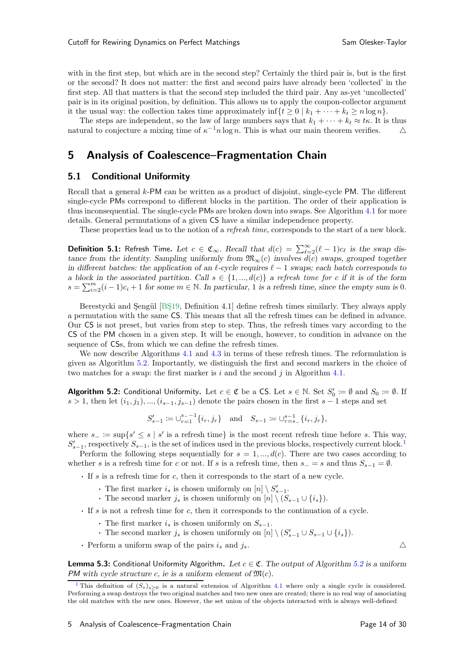with in the first step, but which are in the second step? Certainly the third pair is, but is the first or the second? It does not matter: the first and second pairs have already been 'collected' in the first step. All that matters is that the second step included the third pair. Any as-yet 'uncollected' pair is in its original position, by definition. This allows us to apply the coupon-collector argument it the usual way: the collection takes time approximately inf $\{t \geq 0 \mid k_1 + \cdots + k_t \geq n \log n\}$ .

The steps are independent, so the law of large numbers says that  $k_1 + \cdots + k_t \approx t\kappa$ . It is thus ural to conjecture a mixing time of  $\kappa^{-1}n \log n$ . This is what our main theorem verifies natural to conjecture a mixing time of  $\kappa^{-1} n \log n$ . This is what our main theorem verifies.  $\Delta$ 

## <span id="page-13-0"></span>5 Analysis of Coalescence–Fragmentation Chain

### 5.1 Conditional Uniformity

Recall that a general  $k$ -PM can be written as a product of disjoint, single-cycle PM. The different single-cycle PMs correspond to different blocks in the partition. The order of their application is thus inconsequential. The single-cycle PMs are broken down into swaps. See Algorithm [4.1](#page-9-1) for more details. General permutations of a given CS have a similar independence property.

<span id="page-13-4"></span>These properties lead us to the notion of a *refresh time*, corresponds to the start of a new block.

**Definition 5.1:** Refresh Time. Let  $c \in \mathfrak{C}_{\infty}$ . Recall that  $d(c) = \sum_{\ell=2}^{\infty} (\ell-1)c_{\ell}$  is the swap distance from the identity. Sampling uniformly from  $\mathfrak{M}_{\infty}(c)$  involves  $d(c)$  swaps, grouped together in different batches: the application of an  $\ell$ -cycle requires  $\ell - 1$  swaps; each batch corresponds to a block in the associated partition. Call  $s \in \{1, ..., d(c)\}\$ a refresh time for c if it is of the form  $s = \sum_{i=2}^{m} (i-1)c_i + 1$  for some  $m \in \mathbb{N}$ . In particular, 1 is a refresh time, since the empty sum is 0.

Berestycki and Sengül [BS19, Definition 4.1] define refresh times similarly. They always apply a permutation with the same CS. This means that all the refresh times can be defined in advance. Our CS is not preset, but varies from step to step. Thus, the refresh times vary according to the CS of the PM chosen in a given step. It will be enough, however, to condition in advance on the sequence of CSs, from which we can define the refresh times.

We now describe Algorithms [4.1](#page-9-1) and [4.3](#page-10-2) in terms of these refresh times. The reformulation is given as Algorithm [5.2.](#page-13-1) Importantly, we distinguish the first and second markers in the choice of two matches for a swap: the first marker is i and the second i in Algorithm [4.1.](#page-9-1)

<span id="page-13-1"></span>**Algorithm 5.2:** Conditional Uniformity. Let  $c \in \mathfrak{C}$  be a CS. Let  $s \in \mathbb{N}$ . Set  $S'_0 := \emptyset$  and  $S_0 := \emptyset$ . If  $s > 1$ , then let  $(i_1, j_1), ..., (i_{s-1}, j_{s-1})$  denote the pairs chosen in the first  $s - 1$  steps and set

$$
S_{s-1}'\coloneqq \cup_{r=1}^{s_--1}\{i_r,j_r\}\quad\text{and}\quad S_{s-1}\coloneqq \cup_{r=s_-}^{s-1}\{i_r,j_r\},
$$

where  $s_ - := \sup \{ s' \le s \mid s' \text{ is a refresh time} \}$  is the most recent refresh time before s. This way,  $S'_{s-1}$  $S'_{s-1}$  $S'_{s-1}$ , respectively  $S_{s-1}$ , is the set of indices used in the previous blocks, respectively current block.<sup>1</sup>

Perform the following steps sequentially for  $s = 1, ..., d(c)$ . There are two cases according to whether s is a refresh time for c or not. If s is a refresh time, then  $s_-=s$  and thus  $S_{s-1}=\emptyset$ .

· If s is a refresh time for c, then it corresponds to the start of a new cycle.

- The first marker  $i_s$  is chosen uniformly on  $[n] \setminus S'_{s-1}$ .
- The second marker  $j_s$  is chosen uniformly on  $[n] \setminus (S_{s-1} \cup \{i_s\}).$
- · If s is not a refresh time for c, then it corresponds to the continuation of a cycle.
	- The first marker  $i_s$  is chosen uniformly on  $S_{s-1}$ .
	- The second marker  $j_s$  is chosen uniformly on  $[n] \setminus (S'_{s-1} \cup S_{s-1} \cup \{i_s\}).$
- Perform a uniform swap of the pairs  $i_s$  and  $j_s$ .

**Lemma 5.3:** Conditional Uniformity Algorithm. Let  $c \in \mathfrak{C}$ . The output of Algorithm [5.2](#page-13-1) is a uniform *PM* with cycle structure c, ie is a uniform element of  $\mathfrak{M}(c)$ .

<span id="page-13-3"></span>

<span id="page-13-2"></span><sup>&</sup>lt;sup>[1](#page-13-3)</sup> This definition of  $(S_s)_{s>0}$  is a natural extension of Algorithm [4.1](#page-9-1) where only a single cycle is considered. Performing a swap destroys the two original matches and two new ones are created; there is no real way of associating the old matches with the new ones. However, the set union of the objects interacted with is always well-defined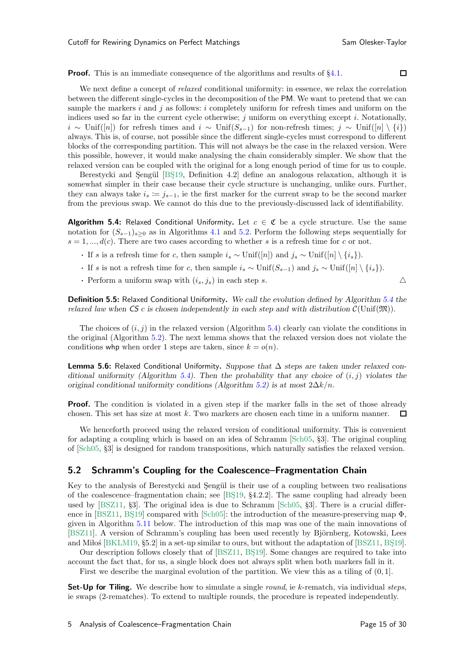$\Box$ 

**Proof.** This is an immediate consequence of the algorithms and results of  $\S4.1$ .

We next define a concept of *relaxed* conditional uniformity: in essence, we relax the correlation between the different single-cycles in the decomposition of the PM. We want to pretend that we can sample the markers  $i$  and  $j$  as follows:  $i$  completely uniform for refresh times and uniform on the indices used so far in the current cycle otherwise;  $j$  uniform on everything except  $i$ . Notationally,  $i \sim$  Unif([n]) for refresh times and  $i \sim$  Unif $(S_{s-1})$  for non-refresh times;  $j \sim$  Unif([n] \ {i}) always. This is, of course, not possible since the different single-cycles must correspond to different blocks of the corresponding partition. This will not always be the case in the relaxed version. Were this possible, however, it would make analysing the chain considerably simpler. We show that the relaxed version can be coupled with the original for a long enough period of time for us to couple.

Berestycki and Şengül [BŞ19, Definition 4.2] define an analogous relaxation, although it is somewhat simpler in their case because their cycle structure is unchanging, unlike ours. Further, they can always take  $i_s := j_{s-1}$ , ie the first marker for the current swap to be the second marker from the previous swap. We cannot do this due to the previously-discussed lack of identifiability.

<span id="page-14-1"></span>**Algorithm 5.4:** Relaxed Conditional Uniformity. Let  $c \in \mathfrak{C}$  be a cycle structure. Use the same notation for  $(S_{s-1})_{s>0}$  as in Algorithms [4.1](#page-9-1) and [5.2.](#page-13-1) Perform the following steps sequentially for  $s = 1, ..., d(c)$ . There are two cases according to whether s is a refresh time for c or not.

- If s is a refresh time for c, then sample  $i_s \sim \text{Unif}([n])$  and  $j_s \sim \text{Unif}([n] \setminus \{i_s\}).$
- If s is not a refresh time for c, then sample  $i_s \sim \text{Unif}(S_{s-1})$  and  $j_s \sim \text{Unif}([n] \setminus \{i_s\}).$
- Perform a uniform swap with  $(i_s, j_s)$  in each step s.  $\Delta$

Definition 5.5: Relaxed Conditional Uniformity. We call the evolution defined by Algorithm [5.4](#page-14-1) the *relaxed law when*  $\mathsf{CS}\,c$  is chosen independently in each step and with distribution  $\mathcal{C}(\text{Unif}(\mathfrak{M}))$ .

The choices of  $(i, j)$  in the relaxed version (Algorithm [5.4\)](#page-14-1) clearly can violate the conditions in the original (Algorithm [5.2\)](#page-13-1). The next lemma shows that the relaxed version does not violate the conditions who when order 1 steps are taken, since  $k = o(n)$ .

**Lemma 5.6:** Relaxed Conditional Uniformity. Suppose that  $\Delta$  steps are taken under relaxed con-ditional uniformity (Algorithm [5.4\)](#page-14-1). Then the probability that any choice of  $(i, j)$  violates the original conditional uniformity conditions (Algorithm [5.2\)](#page-13-1) is at most  $2\Delta k/n$ .

**Proof.** The condition is violated in a given step if the marker falls in the set of those already chosen. This set has size at most  $k$ . Two markers are chosen each time in a uniform manner.  $\Box$ 

We henceforth proceed using the relaxed version of conditional uniformity. This is convenient for adapting a coupling which is based on an idea of Schramm [\[Sch05,](#page-29-1) §3]. The original coupling of [\[Sch05](#page-29-1), §3] is designed for random transpositions, which naturally satisfies the relaxed version.

#### <span id="page-14-0"></span>5.2 Schramm's Coupling for the Coalescence–Fragmentation Chain

Key to the analysis of Berestycki and Sengül is their use of a coupling between two realisations of the coalescence–fragmentation chain; see  $[BS19, §4.2.2]$ . The same coupling had already been used by [\[BSZ11,](#page-28-3) §3]. The original idea is due to Schramm [\[Sch05](#page-29-1), §3]. There is a crucial differ-ence in [\[BSZ11](#page-28-3), BS19] compared with [\[Sch05\]](#page-29-1): the introduction of the measure-preserving map  $\Phi$ , given in Algorithm [5.11](#page-16-0) below. The introduction of this map was one of the main innovations of [\[BSZ11\]](#page-28-3). A version of Schramm's coupling has been used recently by Björnberg, Kotowski, Lees and Milos  $[BKLM19, §5.2]$  in a set-up similar to ours, but without the adaptation of  $[BSZ11, BS19]$ .

Our description follows closely that of [\[BSZ11,](#page-28-3) BS19]. Some changes are required to take into account the fact that, for us, a single block does not always split when both markers fall in it.

First we describe the marginal evolution of the partition. We view this as a tiling of  $(0, 1]$ .

**Set-Up for Tiling.** We describe how to simulate a single *round*, ie k-rematch, via individual *steps*, ie swaps (2-rematches). To extend to multiple rounds, the procedure is repeated independently.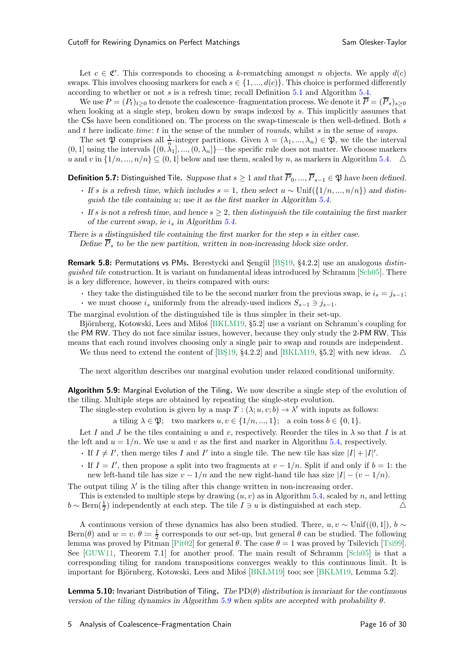Let  $c \in \mathfrak{C}'$ . This corresponds to choosing a k-rematching amongst n objects. We apply  $d(c)$ swaps. This involves choosing markers for each  $s \in \{1, ..., d(c)\}\.$  This choice is performed differently according to whether or not s is a refresh time; recall Definition [5.1](#page-13-4) and Algorithm [5.4.](#page-14-1)

We use  $P = (P_t)_{t\geq 0}$  to denote the coalescence–fragmentation process. We denote it  $\overline{P} = (\overline{P}_s)_{s\geq 0}$ when looking at a single step, broken down by swaps indexed by s. This implicitly assumes that the CSs have been conditioned on. The process on the swap-timescale is then well-defined. Both s and t here indicate time: t in the sense of the number of rounds, whilst s in the sense of swaps.

The set  $\mathfrak P$  comprises all  $\frac{1}{n}$ -integer partitions. Given  $\lambda = (\lambda_1, ..., \lambda_n) \in \mathfrak P$ , we tile the interval  $(0, 1]$  using the intervals  $\{(0, \lambda_1], ..., (0, \lambda_n]\}$ —the specific rule does not matter. We choose markers u and v in  $\{1/n, ..., n/n\} \subseteq (0, 1]$  below and use them, scaled by n, as markers in Algorithm [5.4.](#page-14-1)  $\triangle$ 

**Definition 5.7:** Distinguished Tile. Suppose that  $s \ge 1$  and that  $\overline{P}_0, ..., \overline{P}_{s-1} \in \mathfrak{P}$  have been defined.

- If s is a refresh time, which includes  $s = 1$ , then select  $u \sim \text{Unif}(\{1/n, ..., n/n\})$  and distinguish the tile containing u; use it as the first marker in Algorithm [5.4.](#page-14-1)
- If s is not a refresh time, and hence  $s \geq 2$ , then distinguish the tile containing the first marker of the current swap, ie  $i_s$  in Algorithm [5.4.](#page-14-1)

There is a distinguished tile containing the first marker for the step s in either case. Define  $\overline{P}_s$  to be the new partition, written in non-increasing block size order.

**Remark 5.8:** Permutations vs PMs. Berestycki and Sengül [BS19, §4.2.2] use an analogous *distin*guished tile construction. It is variant on fundamental ideas introduced by Schramm [\[Sch05\]](#page-29-1). There is a key difference, however, in theirs compared with ours:

• they take the distinguished tile to be the second marker from the previous swap, ie  $i_s = j_{s-1}$ ;

• we must choose  $i_s$  uniformly from the already-used indices  $S_{s-1} \ni j_{s-1}$ .

The marginal evolution of the distinguished tile is thus simpler in their set-up.

Björnberg, Kotowski, Lees and Milos [\[BKLM19,](#page-28-6) §5.2] use a variant on Schramm's coupling for the PM RW. They do not face similar issues, however, because they only study the 2-PM RW. This means that each round involves choosing only a single pair to swap and rounds are independent.

We thus need to extend the content of [BŞ19, §4.2.2] and [\[BKLM19,](#page-28-6) §5.2] with new ideas.  $\triangle$ 

<span id="page-15-1"></span>The next algorithm describes our marginal evolution under relaxed conditional uniformity.

Algorithm 5.9: Marginal Evolution of the Tiling. We now describe a single step of the evolution of the tiling. Multiple steps are obtained by repeating the single-step evolution.

The single-step evolution is given by a map  $T : (\lambda; u, v; b) \to \lambda'$  with inputs as follows:

a tiling  $\lambda \in \mathfrak{P}$ ; two markers  $u, v \in \{1/n, ..., 1\}$ ; a coin toss  $b \in \{0, 1\}$ .

Let I and J be the tiles containing u and v, respectively. Reorder the tiles in  $\lambda$  so that I is at the left and  $u = 1/n$ . We use u and v as the first and marker in Algorithm [5.4,](#page-14-1) respectively.

- If  $I \neq I'$ , then merge tiles I and I' into a single tile. The new tile has size  $|I| + |I'|$ .
- If  $I = I'$ , then propose a split into two fragments at  $v 1/n$ . Split if and only if  $b = 1$ : the new left-hand tile has size  $v - 1/n$  and the new right-hand tile has size  $|I| - (v - 1/n)$ .

The output tiling  $\lambda'$  is the tiling after this change written in non-increasing order.

This is extended to multiple steps by drawing  $(u, v)$  as in Algorithm [5.4,](#page-14-1) scaled by n, and letting  $b \sim \text{Bern}(\frac{1}{2})$  independently at each step. The tile  $I \ni u$  is distinguished at each step. △

A continuous version of these dynamics has also been studied. There,  $u, v \sim \text{Unif}((0, 1]), b \sim$ Bern( $\theta$ ) and  $w = v$ .  $\theta := \frac{1}{2}$  corresponds to our set-up, but general  $\theta$  can be studied. The following lemma was proved by Pitman [\[Pit02\]](#page-29-12) for general  $\theta$ . The case  $\theta = 1$  was proved by Tsilevich [\[Tsi99\]](#page-29-13). See [\[GUW11,](#page-29-3) Theorem 7.1] for another proof. The main result of Schramm [\[Sch05](#page-29-1)] is that a corresponding tiling for random transpositions converges weakly to this continuous limit. It is important for Björnberg, Kotowski, Lees and Miłoś [\[BKLM19\]](#page-28-6) too; see [\[BKLM19](#page-28-6), Lemma 5.2].

<span id="page-15-0"></span>**Lemma 5.10:** Invariant Distribution of Tiling. The  $PD(\theta)$  distribution is invariant for the continuous version of the tiling dynamics in Algorithm [5.9](#page-15-1) when splits are accepted with probability  $\theta$ .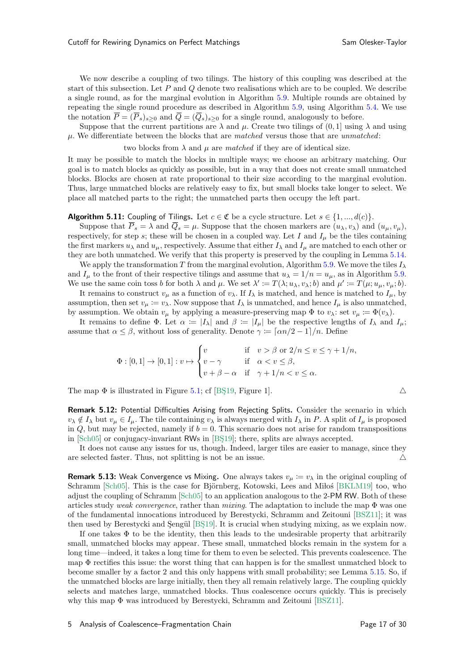We now describe a coupling of two tilings. The history of this coupling was described at the start of this subsection. Let  $P$  and  $Q$  denote two realisations which are to be coupled. We describe a single round, as for the marginal evolution in Algorithm [5.9.](#page-15-1) Multiple rounds are obtained by repeating the single round procedure as described in Algorithm [5.9,](#page-15-1) using Algorithm [5.4.](#page-14-1) We use the notation  $\overline{P} = (\overline{P}_s)_{s \geq 0}$  and  $\overline{Q} = (\overline{Q}_s)_{s \geq 0}$  for a single round, analogously to before.

Suppose that the current partitions are  $\lambda$  and  $\mu$ . Create two tilings of  $(0, 1]$  using  $\lambda$  and using  $\mu$ . We differentiate between the blocks that are matched versus those that are unmatched:

two blocks from  $\lambda$  and  $\mu$  are matched if they are of identical size.

It may be possible to match the blocks in multiple ways; we choose an arbitrary matching. Our goal is to match blocks as quickly as possible, but in a way that does not create small unmatched blocks. Blocks are chosen at rate proportional to their size according to the marginal evolution. Thus, large unmatched blocks are relatively easy to fix, but small blocks take longer to select. We place all matched parts to the right; the unmatched parts then occupy the left part.

#### <span id="page-16-0"></span>**Algorithm 5.11:** Coupling of Tilings. Let  $c \in \mathfrak{C}$  be a cycle structure. Let  $s \in \{1, ..., d(c)\}\$ .

Suppose that  $\overline{P}_s = \lambda$  and  $\overline{Q}_s = \mu$ . Suppose that the chosen markers are  $(u_\lambda, v_\lambda)$  and  $(u_\mu, v_\mu)$ , respectively, for step s; these will be chosen in a coupled way. Let I and  $I_{\mu}$  be the tiles containing the first markers  $u_\lambda$  and  $u_\mu$ , respectively. Assume that either  $I_\lambda$  and  $I_\mu$  are matched to each other or they are both unmatched. We verify that this property is preserved by the coupling in Lemma [5.14.](#page-17-0)

We apply the transformation T from the marginal evolution, Algorithm [5.9.](#page-15-1) We move the tiles  $I_{\lambda}$ and  $I_{\mu}$  to the front of their respective tilings and assume that  $u_{\lambda} = 1/n = u_{\mu}$ , as in Algorithm [5.9.](#page-15-1) We use the same coin toss b for both  $\lambda$  and  $\mu$ . We set  $\lambda' := T(\lambda; u_\lambda, v_\lambda; b)$  and  $\mu' := T(\mu; u_\mu, v_\mu; b)$ .

It remains to construct  $v_{\mu}$  as a function of  $v_{\lambda}$ . If  $I_{\lambda}$  is matched, and hence is matched to  $I_{\mu}$ , by assumption, then set  $v_{\mu} := v_{\lambda}$ . Now suppose that  $I_{\lambda}$  is unmatched, and hence  $I_{\mu}$  is also unmatched, by assumption. We obtain  $v_{\mu}$  by applying a measure-preserving map  $\Phi$  to  $v_{\lambda}$ : set  $v_{\mu} \coloneqq \Phi(v_{\lambda})$ .

It remains to define  $\Phi$ . Let  $\alpha := |I_{\lambda}|$  and  $\beta := |I_{\mu}|$  be the respective lengths of  $I_{\lambda}$  and  $I_{\mu}$ ; assume that  $\alpha \leq \beta$ , without loss of generality. Denote  $\gamma = \lceil \alpha n/2 - 1 \rceil/n$ . Define

$$
\Phi : [0,1] \to [0,1] : v \mapsto \begin{cases} v & \text{if } v > \beta \text{ or } 2/n \le v \le \gamma + 1/n, \\ v - \gamma & \text{if } \alpha < v \le \beta, \\ v + \beta - \alpha & \text{if } \gamma + 1/n < v \le \alpha. \end{cases}
$$

<span id="page-16-1"></span>The map  $\Phi$  is illustrated in Figure [5.1;](#page-17-1) cf [BS19, Figure 1].

Remark 5.12: Potential Difficulties Arising from Rejecting Splits. Consider the scenario in which  $v_{\lambda} \notin I_{\lambda}$  but  $v_{\mu} \in I_{\mu}$ . The tile containing  $v_{\lambda}$  is always merged with  $I_{\lambda}$  in P. A split of  $I_{\mu}$  is proposed in  $Q$ , but may be rejected, namely if  $b = 0$ . This scenario does not arise for random transpositions in  $\left[Sch05\right]$  or conjugacy-invariant RWs in  $\left[BS19\right]$ ; there, splits are always accepted.

It does not cause any issues for us, though. Indeed, larger tiles are easier to manage, since they are selected faster. Thus, not splitting is not be an issue.  $\triangle$ 

**Remark 5.13:** Weak Convergence vs Mixing. One always takes  $v_{\mu} := v_{\lambda}$  in the original coupling of Schramm [\[Sch05\]](#page-29-1). This is the case for Björnberg, Kotowski, Lees and Milos [\[BKLM19](#page-28-6)] too, who adjust the coupling of Schramm [\[Sch05](#page-29-1)] to an application analogous to the 2-PM RW. Both of these articles study weak convergence, rather than mixing. The adaptation to include the map  $\Phi$  was one of the fundamental innocations introduced by Berestycki, Schramm and Zeitouni [\[BSZ11](#page-28-3)]; it was then used by Berestycki and Sengül [BS19]. It is crucial when studying mixing, as we explain now.

If one takes  $\Phi$  to be the identity, then this leads to the undesirable property that arbitrarily small, unmatched blocks may appear. These small, unmatched blocks remain in the system for a long time—indeed, it takes a long time for them to even be selected. This prevents coalescence. The map  $\Phi$  rectifies this issue: the worst thing that can happen is for the smallest unmatched block to become smaller by a factor 2 and this only happens with small probability; see Lemma [5.15.](#page-17-2) So, if the unmatched blocks are large initially, then they all remain relatively large. The coupling quickly selects and matches large, unmatched blocks. Thus coalescence occurs quickly. This is precisely why this map Φ was introduced by Berestycki, Schramm and Zeitouni [\[BSZ11](#page-28-3)].

$$
\triangle
$$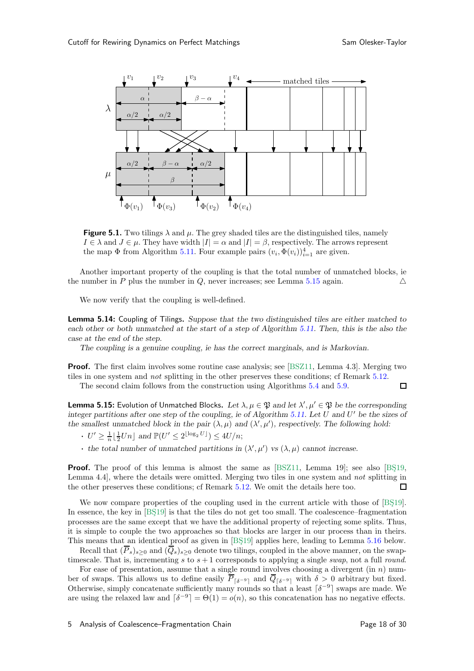<span id="page-17-1"></span>

**Figure 5.1.** Two tilings  $\lambda$  and  $\mu$ . The grey shaded tiles are the distinguished tiles, namely  $I \in \lambda$  and  $J \in \mu$ . They have width  $|I| = \alpha$  and  $|I| = \beta$ , respectively. The arrows represent the map  $\Phi$  from Algorithm [5.11.](#page-16-0) Four example pairs  $(v_i, \Phi(v_i))_{i=1}^4$  are given.

Another important property of the coupling is that the total number of unmatched blocks, ie the number in P plus the number in Q, never increases; see Lemma [5.15](#page-17-2) again.  $\triangle$ 

<span id="page-17-0"></span>We now verify that the coupling is well-defined.

**Lemma 5.14:** Coupling of Tilings. Suppose that the two distinguished tiles are either matched to each other or both unmatched at the start of a step of Algorithm [5.11.](#page-16-0) Then, this is the also the case at the end of the step.

The coupling is a genuine coupling, ie has the correct marginals, and is Markovian.

**Proof.** The first claim involves some routine case analysis; see [\[BSZ11](#page-28-3), Lemma 4.3]. Merging two tiles in one system and not splitting in the other preserves these conditions; cf Remark [5.12.](#page-16-1)  $\Box$ 

The second claim follows from the construction using Algorithms [5.4](#page-14-1) and [5.9.](#page-15-1)

<span id="page-17-2"></span>**Lemma 5.15:** Evolution of Unmatched Blocks. Let  $\lambda, \mu \in \mathfrak{P}$  and let  $\lambda', \mu' \in \mathfrak{P}$  be the corresponding integer partitions after one step of the coupling, ie of Algorithm  $5.11$ . Let U and U' be the sizes of the smallest unmatched block in the pair  $(\lambda, \mu)$  and  $(\lambda', \mu')$ , respectively. The following hold:

- $\cdot$   $U' \geq \frac{1}{n} \lfloor \frac{1}{2} Un \rfloor$  and  $\mathbb{P}(U' \leq 2^{\lfloor \log_2 U \rfloor}) \leq 4U/n;$
- the total number of unmatched partitions in  $(\lambda', \mu')$  vs  $(\lambda, \mu)$  cannot increase.

**Proof.** The proof of this lemma is almost the same as  $[BSZ11, \text{ Lemma } 19]$ ; see also  $[BS19, \text{$ Lemma 4.4], where the details were omitted. Merging two tiles in one system and not splitting in the other preserves these conditions; cf Remark [5.12.](#page-16-1) We omit the details here too. □

We now compare properties of the coupling used in the current article with those of [BS19]. In essence, the key in  $[BS19]$  is that the tiles do not get too small. The coalescence–fragmentation processes are the same except that we have the additional property of rejecting some splits. Thus, it is simple to couple the two approaches so that blocks are larger in our process than in theirs. This means that an identical proof as given in [BS19] applies here, leading to Lemma [5.16](#page-18-1) below.

Recall that  $(\overline{P}_s)_{s>0}$  and  $(\overline{Q}_s)_{s>0}$  denote two tilings, coupled in the above manner, on the swaptimescale. That is, incrementing s to  $s + 1$  corresponds to applying a single swap, not a full round.

For ease of presentation, assume that a single round involves choosing a divergent  $(in n)$  number of swaps. This allows us to define easily  $\overline{P}_{\lceil \delta^{-9} \rceil}$  and  $\overline{Q}_{\lceil \delta^{-9} \rceil}$  with  $\delta > 0$  arbitrary but fixed. Otherwise, simply concatenate sufficiently many rounds so that a least  $\lceil \delta^{-9} \rceil$  swaps are made. We are using the relaxed law and  $\lceil \delta^{-9} \rceil = \Theta(1) = o(n)$ , so this concatenation has no negative effects.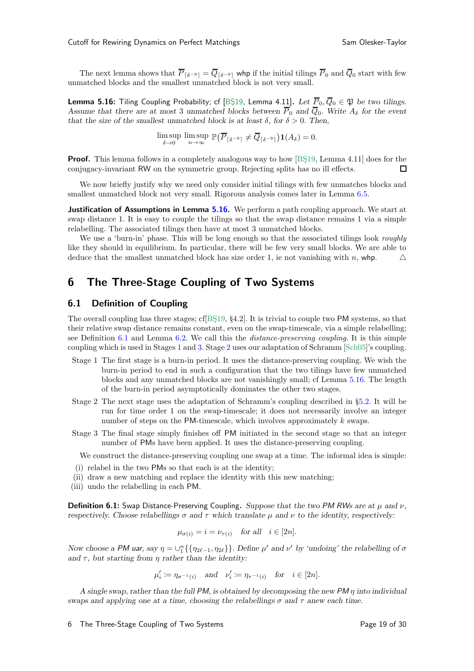<span id="page-18-1"></span>The next lemma shows that  $\overline{P}_{\lceil \delta^{-9} \rceil} = \overline{Q}_{\lceil \delta^{-9} \rceil}$  whp if the initial tilings  $\overline{P}_0$  and  $\overline{Q}_0$  start with few unmatched blocks and the smallest unmatched block is not very small.

**Lemma 5.16:** Tiling Coupling Probability; cf [BŞ19, Lemma 4.11]. Let  $\overline{P}_0, \overline{Q}_0 \in \mathfrak{P}$  be two tilings. Assume that there are at most 3 unmatched blocks between  $\overline{P}_0$  and  $\overline{Q}_0$ . Write  $A_\delta$  for the event that the size of the smallest unmatched block is at least  $\delta$ , for  $\delta > 0$ . Then,

$$
\limsup_{\delta \to 0} \limsup_{n \to \infty} \mathbb{P}(\overline{P}_{\lceil \delta^{-9} \rceil} \neq \overline{Q}_{\lceil \delta^{-9} \rceil}) \mathbf{1}(A_{\delta}) = 0.
$$

**Proof.** This lemma follows in a completely analogous way to how [ $BS19$ , Lemma 4.11] does for the conjugacy-invariant RW on the symmetric group. Rejecting splits has no ill effects.  $\Box$ 

We now briefly justify why we need only consider initial tilings with few unmatches blocks and smallest unmatched block not very small. Rigorous analysis comes later in Lemma [6.5.](#page-19-0)

**Justification of Assumptions in Lemma**  $5.16$ **.** We perform a path coupling approach. We start at swap distance 1. It is easy to couple the tilings so that the swap distance remains 1 via a simple relabelling. The associated tilings then have at most 3 unmatched blocks.

We use a 'burn-in' phase. This will be long enough so that the associated tilings look *roughly* like they should in equilibrium. In particular, there will be few very small blocks. We are able to deduce that the smallest unmatched block has size order 1, ie not vanishing with n, whp.  $\triangle$ 

## <span id="page-18-0"></span>6 The Three-Stage Coupling of Two Systems

### 6.1 Definition of Coupling

The overall coupling has three stages; cf  $[BS19, §4.2]$ . It is trivial to couple two PM systems, so that their relative swap distance remains constant, even on the swap-timescale, via a simple relabelling; see Definition [6.1](#page-18-2) and Lemma [6.2.](#page-18-3) We call this the distance-preserving coupling. It is this simple coupling which is used in Stages [1](#page-18-4) and [3.](#page-18-5) Stage [2](#page-18-6) uses our adaptation of Schramm [\[Sch05](#page-29-1)]'s coupling.

- <span id="page-18-4"></span>Stage 1 The first stage is a burn-in period. It uses the distance-preserving coupling. We wish the burn-in period to end in such a configuration that the two tilings have few unmatched blocks and any unmatched blocks are not vanishingly small; cf Lemma [5.16.](#page-18-1) The length of the burn-in period asymptotically dominates the other two stages.
- <span id="page-18-6"></span>Stage 2 The next stage uses the adaptation of Schramm's coupling described in §[5.2.](#page-14-0) It will be run for time order 1 on the swap-timescale; it does not necessarily involve an integer number of steps on the PM-timescale, which involves approximately k swaps.
- <span id="page-18-5"></span>Stage 3 The final stage simply finishes off PM initiated in the second stage so that an integer number of PMs have been applied. It uses the distance-preserving coupling.

We construct the distance-preserving coupling one swap at a time. The informal idea is simple:

- (i) relabel in the two PMs so that each is at the identity;
- (ii) draw a new matching and replace the identity with this new matching;
- <span id="page-18-2"></span>(iii) undo the relabelling in each PM.

**Definition 6.1:** Swap Distance-Preserving Coupling. Suppose that the two PM RWs are at  $\mu$  and  $\nu$ , respectively. Choose relabellings  $\sigma$  and  $\tau$  which translate  $\mu$  and  $\nu$  to the identity, respectively:

$$
\mu_{\sigma(i)} = i = \nu_{\tau(i)} \quad \text{for all} \quad i \in [2n].
$$

Now choose a PM uar, say  $\eta = \bigcup_{1}^{n} \{\{\eta_{2\ell-1}, \eta_{2\ell}\}\}\.$  Define  $\mu'$  and  $\nu'$  by 'undoing' the relabelling of  $\sigma$ and  $\tau$ , but starting from  $\eta$  rather than the identity:

$$
\mu'_i := \eta_{\sigma^{-1}(i)} \quad \text{and} \quad \nu'_i := \eta_{\tau^{-1}(i)} \quad \text{for} \quad i \in [2n].
$$

A single swap, rather than the full PM, is obtained by decomposing the new PM  $\eta$  into individual swaps and applying one at a time, choosing the relabellings  $\sigma$  and  $\tau$  anew each time.

<span id="page-18-3"></span>6 The Three-Stage Coupling of Two Systems Page 19 of 30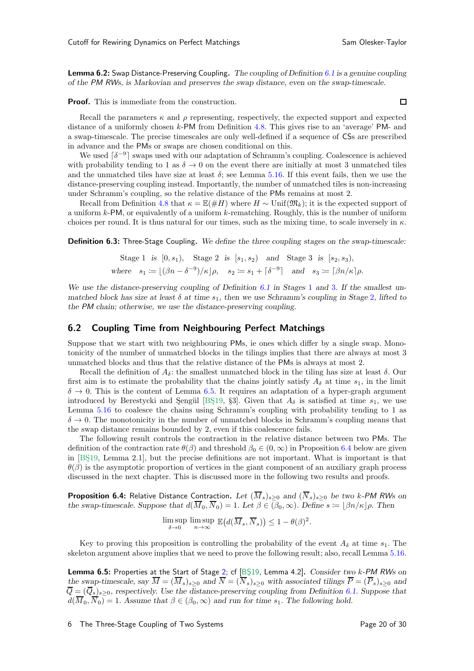**Lemma 6.2:** Swap Distance-Preserving Coupling. The coupling of Definition [6.1](#page-18-2) is a genuine coupling of the *PM RW*s, is Markovian and preserves the swap distance, even on the swap-timescale.

**Proof.** This is immediate from the construction.

Recall the parameters  $\kappa$  and  $\rho$  representing, respectively, the expected support and expected distance of a uniformly chosen k-PM from Definition [4.8.](#page-11-6) This gives rise to an 'average' PM- and a swap-timescale. The precise timescales are only well-defined if a sequence of CSs are prescribed in advance and the PMs or swaps are chosen conditional on this.

We used  $\lceil \delta^{-9} \rceil$  swaps used with our adaptation of Schramm's coupling. Coalescence is achieved with probability tending to 1 as  $\delta \to 0$  on the event there are initially at most 3 unmatched tiles and the unmatched tiles have size at least  $\delta$ ; see Lemma [5.16.](#page-18-1) If this event fails, then we use the distance-preserving coupling instead. Importantly, the number of unmatched tiles is non-increasing under Schramm's coupling, so the relative distance of the PMs remains at most 2.

Recall from Definition [4.8](#page-11-6) that  $\kappa = \mathbb{E}(\#H)$  where  $H \sim \text{Unif}(\mathfrak{M}_k)$ ; it is the expected support of a uniform  $k$ -PM, or equivalently of a uniform  $k$ -rematching. Roughly, this is the number of uniform choices per round. It is thus natural for our times, such as the mixing time, to scale inversely in  $\kappa$ .

**Definition 6.3:** Three-Stage Coupling. We define the three coupling stages on the swap-timescale:

Stage 1 is 
$$
[0, s_1)
$$
, Stage 2 is  $[s_1, s_2)$  and Stage 3 is  $[s_2, s_3)$ ,  
where  $s_1 := \lfloor (\beta n - \delta^{-9})/\kappa \rfloor \rho$ ,  $s_2 := s_1 + \lceil \delta^{-9} \rceil$  and  $s_3 := \lceil \beta n/\kappa \rceil \rho$ .

We use the distance-preserving coupling of Definition  $6.1$  in Stages [1](#page-18-4) and [3](#page-18-5). If the smallest unmatched block has size at least  $\delta$  at time  $s_1$ , then we use Schramm's coupling in Stage [2](#page-18-6), lifted to the *PM* chain; otherwise, we use the distance-preserving coupling.

#### 6.2 Coupling Time from Neighbouring Perfect Matchings

Suppose that we start with two neighbouring PMs, ie ones which differ by a single swap. Monotonicity of the number of unmatched blocks in the tilings implies that there are always at most 3 unmatched blocks and thus that the relative distance of the PMs is always at most 2.

Recall the definition of  $A_{\delta}$ : the smallest unmatched block in the tiling has size at least  $\delta$ . Our first aim is to estimate the probability that the chains jointly satisfy  $A_{\delta}$  at time  $s_1$ , in the limit  $\delta \to 0$ . This is the content of Lemma [6.5.](#page-19-0) It requires an adaptation of a hyper-graph argument introduced by Berestycki and Şengül [BŞ19, §3]. Given that  $A_{\delta}$  is satisfied at time  $s_1$ , we use Lemma [5.16](#page-18-1) to coalesce the chains using Schramm's coupling with probability tending to 1 as  $\delta \to 0$ . The monotonicity in the number of unmatched blocks in Schramm's coupling means that the swap distance remains bounded by 2, even if this coalescence fails.

The following result controls the contraction in the relative distance between two PMs. The definition of the contraction rate  $\theta(\beta)$  and threshold  $\beta_0 \in (0,\infty)$  in Proposition [6.4](#page-19-1) below are given in [BS19, Lemma 2.1], but the precise definitions are not important. What is important is that  $\theta(\beta)$  is the asymptotic proportion of vertices in the giant component of an auxiliary graph process discussed in the next chapter. This is discussed more in the following two results and proofs.

<span id="page-19-1"></span>**Proposition 6.4:** Relative Distance Contraction. Let  $(\overline{M}_s)_{s>0}$  and  $(\overline{N}_s)_{s>0}$  be two k-PM RWs on the swap-timescale. Suppose that  $d(\overline{M}_0, \overline{N}_0) = 1$ . Let  $\beta \in (\beta_0, \infty)$ . Define  $s = |\beta n/\kappa| \rho$ . Then

$$
\limsup_{\delta \to 0} \limsup_{n \to \infty} \mathbb{E}\big(d(\overline{M}_s, \overline{N}_s)\big) \le 1 - \theta(\beta)^2.
$$

<span id="page-19-0"></span>Key to proving this proposition is controlling the probability of the event  $A_{\delta}$  at time  $s_1$ . The skeleton argument above implies that we need to prove the following result; also, recall Lemma [5.16.](#page-18-1)

Lemma 6.5: Properties at the Start of Stage [2;](#page-18-6) cf [\[BS¸19,](#page-28-4) Lemma 4.2]. Consider two k-*PM RW*s on the swap-timescale, say  $M = (M_s)_{s\geq 0}$  and  $N = (N_s)_{s\geq 0}$  with associated tilings  $P = (P_s)_{s\geq 0}$  and  $\overline{Q} = (\overline{Q}_s)_{s \geq 0}$ , respectively. Use the distance-preserving coupling from Definition [6.1.](#page-18-2) Suppose that  $d(\overline{M}_0, \overline{N}_0) = 1$ . Assume that  $\beta \in (\beta_0, \infty)$  and run for time  $s_1$ . The following hold.

 $\Box$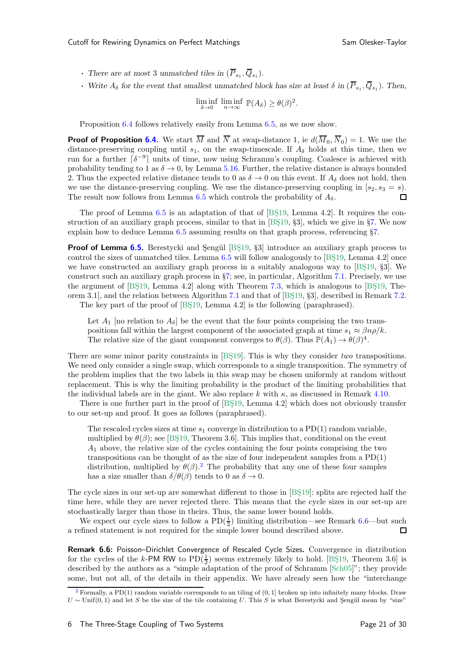- There are at most 3 unmatched tiles in  $(\overline{P}_{s_1}, \overline{Q}_{s_1})$ .
- Write  $A_{\delta}$  for the event that smallest unmatched block has size at least  $\delta$  in  $(\overline{P}_{s_1}, \overline{Q}_{s_1})$ . Then,

$$
\liminf_{\delta \to 0} \liminf_{n \to \infty} \mathbb{P}(A_{\delta}) \ge \theta(\beta)^2.
$$

Proposition [6.4](#page-19-1) follows relatively easily from Lemma [6.5,](#page-19-0) as we now show.

**Proof of Proposition [6.4.](#page-19-1)** We start  $\overline{M}$  and  $\overline{N}$  at swap-distance 1, ie  $d(\overline{M}_0, \overline{N}_0) = 1$ . We use the distance-preserving coupling until  $s_1$ , on the swap-timescale. If  $A_\delta$  holds at this time, then we run for a further  $\lceil \delta^{-9} \rceil$  units of time, now using Schramm's coupling. Coalesce is achieved with probability tending to 1 as  $\delta \to 0$ , by Lemma [5.16.](#page-18-1) Further, the relative distance is always bounded 2. Thus the expected relative distance tends to 0 as  $\delta \to 0$  on this event. If  $A_{\delta}$  does not hold, then we use the distance-preserving coupling. We use the distance-preserving coupling in  $[s_2, s_3 = s]$ . The result now follows from Lemma [6.5](#page-19-0) which controls the probability of  $A_\delta$ .  $\Box$ 

The proof of Lemma  $6.5$  is an adaptation of that of [BŞ19, Lemma 4.2]. It requires the construction of an auxiliary graph process, similar to that in  $[BS19, §3]$ , which we give in §[7.](#page-21-0) We now explain how to deduce Lemma [6.5](#page-19-0) assuming results on that graph process, referencing §[7.](#page-21-0)

**Proof of Lemma [6.5.](#page-19-0)** Berestycki and Sengül [BS19, §3] introduce an auxiliary graph process to control the sizes of unmatched tiles. Lemma  $6.5$  will follow analogously to [BS $19$ , Lemma 4.2] once we have constructed an auxiliary graph process in a suitably analogous way to  $[BS19, S3]$ . We construct such an auxiliary graph process in §[7;](#page-21-0) see, in particular, Algorithm [7.1.](#page-21-1) Precisely, we use the argument of  $[BS19, Lemma 4.2]$  along with Theorem [7.3,](#page-23-0) which is analogous to  $[BS19, The-$ orem 3.1, and the relation between Algorithm [7.1](#page-21-1) and that of  $[BS19, §3]$ , described in Remark [7.2.](#page-22-0)

The key part of the proof of [BŞ19, Lemma 4.2] is the following (paraphrased).

Let  $A_1$  [no relation to  $A_\delta$ ] be the event that the four points comprising the two transpositions fall within the largest component of the associated graph at time  $s_1 \approx \beta np/k$ . The relative size of the giant component converges to  $\theta(\beta)$ . Thus  $\mathbb{P}(A_1) \to \theta(\beta)^4$ .

There are some minor parity constraints in [BS19]. This is why they consider two transpositions. We need only consider a single swap, which corresponds to a single transposition. The symmetry of the problem implies that the two labels in this swap may be chosen uniformly at random without replacement. This is why the limiting probability is the product of the limiting probabilities that the individual labels are in the giant. We also replace k with  $\kappa$ , as discussed in Remark [4.10.](#page-12-1)

There is one further part in the proof of [BS19, Lemma 4.2] which does not obviously transfer to our set-up and proof. It goes as follows (paraphrased).

<span id="page-20-2"></span>The rescaled cycles sizes at time  $s_1$  converge in distribution to a PD(1) random variable, multiplied by  $\theta(\beta)$ ; see [BS19, Theorem 3.6]. This implies that, conditional on the event  $A_1$  above, the relative size of the cycles containing the four points comprising the two transpositions can be thought of as the size of four independent samples from a PD(1) distribution, multiplied by  $\theta(\beta)$ .<sup>[2](#page-20-0)</sup> The probability that any one of these four samples has a size smaller than  $\delta/\theta(\beta)$  tends to 0 as  $\delta \to 0$ .

The cycle sizes in our set-up are somewhat different to those in [BS19]: splits are rejected half the time here, while they are never rejected there. This means that the cycle sizes in our set-up are stochastically larger than those in theirs. Thus, the same lower bound holds.

We expect our cycle sizes to follow a  $PD(\frac{1}{2})$  limiting distribution—see Remark [6.6—](#page-20-1)but such a refined statement is not required for the simple lower bound described above.  $\Box$ 

<span id="page-20-1"></span>Remark 6.6: Poisson–Dirichlet Convergence of Rescaled Cycle Sizes. Convergence in distribution for the cycles of the k-PM RW to  $PD(\frac{1}{2})$  seems extremely likely to hold. [BS19, Theorem 3.6] is described by the authors as a "simple adaptation of the proof of Schramm [\[Sch05\]](#page-29-1)"; they provide some, but not all, of the details in their appendix. We have already seen how the "interchange

<span id="page-20-0"></span><sup>&</sup>lt;sup>[2](#page-20-2)</sup> Formally, a PD(1) random variable corresponds to an tiling of  $(0, 1]$  broken up into infinitely many blocks. Draw  $U \sim$  Unif(0, 1) and let S be the size of the tile containing U. This S is what Berestycki and Sengül mean by "size"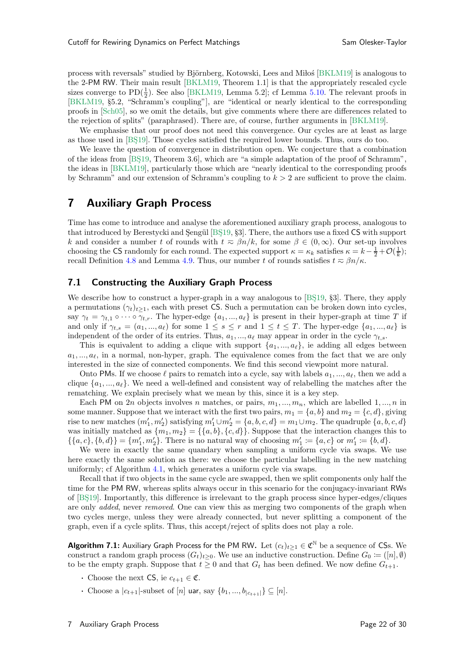process with reversals" studied by Björnberg, Kotowski, Lees and Milos [\[BKLM19\]](#page-28-6) is analogous to the 2-PM RW. Their main result [\[BKLM19,](#page-28-6) Theorem 1.1] is that the appropriately rescaled cycle sizes converge to  $PD(\frac{1}{2})$ . See also [\[BKLM19,](#page-28-6) Lemma 5.2]; cf Lemma [5.10.](#page-15-0) The relevant proofs in [\[BKLM19,](#page-28-6) §5.2, "Schramm's coupling"], are "identical or nearly identical to the corresponding proofs in [\[Sch05](#page-29-1)], so we omit the details, but give comments where there are differences related to the rejection of splits" (paraphrased). There are, of course, further arguments in [\[BKLM19\]](#page-28-6).

We emphasise that our proof does not need this convergence. Our cycles are at least as large as those used in [BS19]. Those cycles satisfied the required lower bounds. Thus, ours do too.

We leave the question of convergence in distribution open. We conjecture that a combination of the ideas from  $[BS19, Theorem 3.6]$ , which are "a simple adaptation of the proof of Schramm", the ideas in [\[BKLM19\]](#page-28-6), particularly those which are "nearly identical to the corresponding proofs by Schramm" and our extension of Schramm's coupling to  $k > 2$  are sufficient to prove the claim.

## <span id="page-21-0"></span>7 Auxiliary Graph Process

Time has come to introduce and analyse the aforementioned auxiliary graph process, analogous to that introduced by Berestycki and Sengül [BS19, §3]. There, the authors use a fixed CS with support k and consider a number t of rounds with  $t \approx \beta n/k$ , for some  $\beta \in (0, \infty)$ . Our set-up involves choosing the CS randomly for each round. The expected support  $\kappa = \kappa_k$  satisfies  $\kappa = k - \frac{1}{2} + \mathcal{O}(\frac{1}{k});$ recall Definition [4.8](#page-11-6) and Lemma [4.9.](#page-12-2) Thus, our number t of rounds satisfies  $t \approx \beta n/\kappa$ .

## 7.1 Constructing the Auxiliary Graph Process

We describe how to construct a hyper-graph in a way analogous to  $[BS19, S3]$ . There, they apply a permutations  $(\gamma_t)_{t>1}$ , each with preset CS. Such a permutation can be broken down into cycles, say  $\gamma_t = \gamma_{t,1} \circ \cdots \circ \gamma_{t,r}$ . The hyper-edge  $\{a_1,..., a_\ell\}$  is present in their hyper-graph at time T if and only if  $\gamma_{t,s} = (a_1, ..., a_\ell)$  for some  $1 \leq s \leq r$  and  $1 \leq t \leq T$ . The hyper-edge  $\{a_1, ..., a_\ell\}$  is independent of the order of its entries. Thus,  $a_1, ..., a_\ell$  may appear in order in the cycle  $\gamma_{t,s}$ .

This is equivalent to adding a clique with support  $\{a_1, ..., a_\ell\}$ , ie adding all edges between  $a_1, \ldots, a_\ell$ , in a normal, non-hyper, graph. The equivalence comes from the fact that we are only interested in the size of connected components. We find this second viewpoint more natural.

Onto PMs. If we choose  $\ell$  pairs to rematch into a cycle, say with labels  $a_1, ..., a_\ell$ , then we add a clique  $\{a_1, ..., a_\ell\}$ . We need a well-defined and consistent way of relabelling the matches after the rematching. We explain precisely what we mean by this, since it is a key step.

Each PM on 2n objects involves n matches, or pairs,  $m_1, ..., m_n$ , which are labelled 1, ..., n in some manner. Suppose that we interact with the first two pairs,  $m_1 = \{a, b\}$  and  $m_2 = \{c, d\}$ , giving rise to new matches  $(m'_1, m'_2)$  satisfying  $m'_1 \cup m'_2 = \{a, b, c, d\} = m_1 \cup m_2$ . The quadruple  $\{a, b, c, d\}$ was initially matched as  $\{m_1, m_2\} = \{\{a, b\}, \{c, d\}\}\.$  Suppose that the interaction changes this to  $\{\{a, c\}, \{b, d\}\} = \{m'_1, m'_2\}.$  There is no natural way of choosing  $m'_1 := \{a, c\}$  or  $m'_1 := \{b, d\}.$ 

We were in exactly the same quandary when sampling a uniform cycle via swaps. We use here exactly the same solution as there: we choose the particular labelling in the new matching uniformly; cf Algorithm [4.1,](#page-9-1) which generates a uniform cycle via swaps.

Recall that if two objects in the same cycle are swapped, then we split components only half the time for the PM RW, whereas splits always occur in this scenario for the conjugacy-invariant RWs of [\[BS¸19\]](#page-28-4). Importantly, this difference is irrelevant to the graph process since hyper-edges/cliques are only *added*, never *removed*. One can view this as merging two components of the graph when two cycles merge, unless they were already connected, but never splitting a component of the graph, even if a cycle splits. Thus, this accept/reject of splits does not play a role.

<span id="page-21-1"></span>**Algorithm 7.1:** Auxiliary Graph Process for the PM RW. Let  $(c_t)_{t\geq 1} \in \mathfrak{C}^{\mathbb{N}}$  be a sequence of CSs. We construct a random graph process  $(G_t)_{t\geq 0}$ . We use an inductive construction. Define  $G_0 \coloneqq ([n], \emptyset)$ to be the empty graph. Suppose that  $t \geq 0$  and that  $G_t$  has been defined. We now define  $G_{t+1}$ .

- Choose the next CS, ie  $c_{t+1} \in \mathfrak{C}$ .
- Choose a  $|c_{t+1}|$ -subset of  $[n]$  uar, say  $\{b_1, ..., b_{|c_{t+1}|}\} \subseteq [n]$ .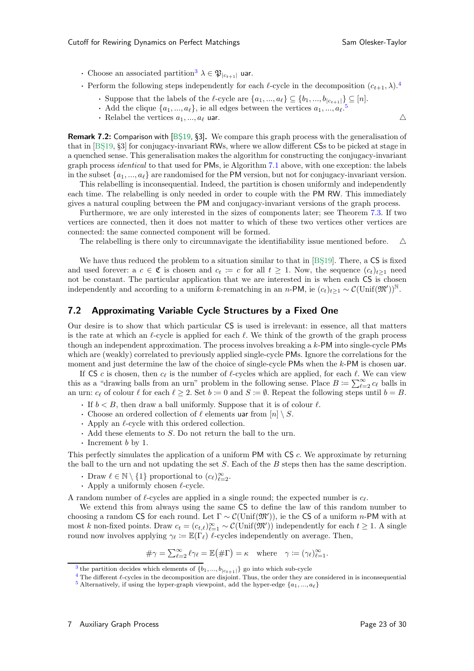- <span id="page-22-5"></span><span id="page-22-4"></span>• Choose an associated partition<sup>[3](#page-22-1)</sup>  $\lambda \in \mathfrak{P}_{|c_{t+1}|}$  uar.
- <span id="page-22-6"></span>• Perform the following steps independently for each  $\ell$ -cycle in the decomposition  $(c_{t+1}, \lambda)$ .<sup>[4](#page-22-2)</sup>
	- Suppose that the labels of the  $\ell$ -cycle are  $\{a_1, ..., a_\ell\} \subseteq \{b_1, ..., b_{|c_{t+1}|}\} \subseteq [n]$ .
	- Add the clique  $\{a_1, ..., a_\ell\}$ , ie all edges between the vertices  $a_1, ..., a_\ell$ .<sup>[5](#page-22-3)</sup>
	- Relabel the vertices  $a_1, ..., a_\ell$  uar.  $\triangle$

<span id="page-22-0"></span>**Remark 7.2:** Comparison with [BS19, §3]. We compare this graph process with the generalisation of that in [BS19, §3] for conjugacy-invariant RWs, where we allow different CSs to be picked at stage in a quenched sense. This generalisation makes the algorithm for constructing the conjugacy-invariant graph process *identical* to that used for PMs, ie Algorithm [7.1](#page-21-1) above, with one exception: the labels in the subset  $\{a_1, ..., a_\ell\}$  are randomised for the PM version, but not for conjugacy-invariant version.

This relabelling is inconsequential. Indeed, the partition is chosen uniformly and independently each time. The relabelling is only needed in order to couple with the PM RW. This immediately gives a natural coupling between the PM and conjugacy-invariant versions of the graph process.

Furthermore, we are only interested in the sizes of components later; see Theorem [7.3.](#page-23-0) If two vertices are connected, then it does not matter to which of these two vertices other vertices are connected: the same connected component will be formed.

The relabelling is there only to circumnavigate the identifiability issue mentioned before.  $\triangle$ 

We have thus reduced the problem to a situation similar to that in [BS19]. There, a CS is fixed and used forever:  $a \ c \in \mathfrak{C}$  is chosen and  $c_t := c$  for all  $t \geq 1$ . Now, the sequence  $(c_t)_{t \geq 1}$  need not be constant. The particular application that we are interested in is when each CS is chosen independently and according to a uniform k-rematching in an n-PM, ie  $(c_t)_{t\geq 1} \sim \mathcal{C}(\text{Unif}(\mathfrak{M}'))^{\mathbb{N}}$ .

### 7.2 Approximating Variable Cycle Structures by a Fixed One

Our desire is to show that which particular CS is used is irrelevant: in essence, all that matters is the rate at which an  $\ell$ -cycle is applied for each  $\ell$ . We think of the growth of the graph process though an independent approximation. The process involves breaking a k-PM into single-cycle PMs which are (weakly) correlated to previously applied single-cycle PMs. Ignore the correlations for the moment and just determine the law of the choice of single-cycle PMs when the  $k$ -PM is chosen uar.

If CS c is chosen, then  $c_{\ell}$  is the number of  $\ell$ -cycles which are applied, for each  $\ell$ . We can view this as a "drawing balls from an urn" problem in the following sense. Place  $B := \sum_{\ell=2}^{\infty} c_{\ell}$  balls in an urn:  $c_{\ell}$  of colour  $\ell$  for each  $\ell \geq 2$ . Set  $b := 0$  and  $S := \emptyset$ . Repeat the following steps until  $b = B$ .

- If  $b < B$ , then draw a ball uniformly. Suppose that it is of colour  $\ell$ .
- Choose an ordered collection of  $\ell$  elements uar from  $[n] \setminus S$ .
- $\cdot$  Apply an  $\ell$ -cycle with this ordered collection.
- $\cdot$  Add these elements to S. Do not return the ball to the urn.
- $\cdot$  Increment b by 1.

This perfectly simulates the application of a uniform PM with CS c. We approximate by returning the ball to the urn and not updating the set  $S$ . Each of the  $B$  steps then has the same description.

- Draw  $\ell \in \mathbb{N} \setminus \{1\}$  proportional to  $(c_{\ell})_{\ell=2}^{\infty}$ .
- Apply a uniformly chosen  $\ell$ -cycle.

A random number of  $\ell$ -cycles are applied in a single round; the expected number is  $c_{\ell}$ .

We extend this from always using the same CS to define the law of this random number to choosing a random CS for each round. Let  $\Gamma \sim \mathcal{C}(\text{Unif}(\mathfrak{M}'))$ , ie the CS of a uniform n-PM with at most k non-fixed points. Draw  $c_t = (c_{t,\ell})_{\ell=1}^{\infty} \sim \mathcal{C}(\text{Unif}(\mathfrak{M}'))$  independently for each  $t \geq 1$ . A single round now involves applying  $\gamma_{\ell} := \mathbb{E}(\Gamma_{\ell})$   $\ell$ -cycles independently on average. Then,

$$
\#\gamma = \sum_{\ell=2}^{\infty} \ell \gamma_{\ell} = \mathbb{E}(\#\Gamma) = \kappa \quad \text{where} \quad \gamma := (\gamma_{\ell})_{\ell=1}^{\infty}.
$$

<sup>&</sup>lt;sup>[3](#page-22-4)</sup> the partition decides which elements of  $\{b_1, ..., b_{|c_{t+1}|}\}$  go into which sub-cycle

<span id="page-22-1"></span> $4$  The different  $\ell$ -cycles in the decomposition are disjoint. Thus, the order they are considered in is inconsequential

<span id="page-22-3"></span><span id="page-22-2"></span><sup>&</sup>lt;sup>[5](#page-22-6)</sup> Alternatively, if using the hyper-graph viewpoint, add the hyper-edge  $\{a_1, ..., a_\ell\}$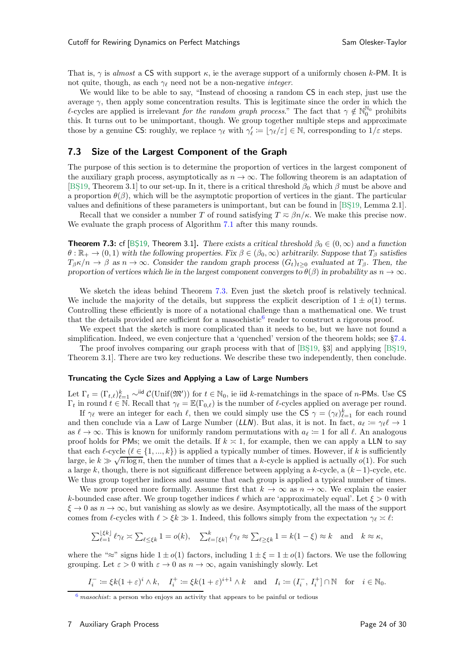That is,  $\gamma$  is almost a CS with support  $\kappa$ , ie the average support of a uniformly chosen k-PM. It is not quite, though, as each  $\gamma_{\ell}$  need not be a non-negative *integer*.

We would like to be able to say, "Instead of choosing a random CS in each step, just use the average  $\gamma$ , then apply some concentration results. This is legitimate since the order in which the l-cycles are applied is irrelevant for the random graph process." The fact that  $\gamma \notin \mathbb{N}_0^{\mathbb{N}_0}$  prohibits this. It turns out to be unimportant, though. We group together multiple steps and approximate those by a genuine CS: roughly, we replace  $\gamma_{\ell}$  with  $\gamma'_{\ell} := \lfloor \gamma_{\ell}/\varepsilon \rfloor \in \mathbb{N}$ , corresponding to  $1/\varepsilon$  steps.

## 7.3 Size of the Largest Component of the Graph

The purpose of this section is to determine the proportion of vertices in the largest component of the auxiliary graph process, asymptotically as  $n \to \infty$ . The following theorem is an adaptation of [BS<sub>19</sub>, Theorem 3.1] to our set-up. In it, there is a critical threshold  $\beta_0$  which  $\beta$  must be above and a proportion  $\theta(\beta)$ , which will be the asymptotic proportion of vertices in the giant. The particular values and definitions of these parameters is unimportant, but can be found in [BS19, Lemma 2.1].

<span id="page-23-0"></span>Recall that we consider a number T of round satisfying  $T \approx \beta n / \kappa$ . We make this precise now. We evaluate the graph process of Algorithm [7.1](#page-21-1) after this many rounds.

**Theorem 7.3:** cf [BS19, Theorem 3.1]. There exists a critical threshold  $\beta_0 \in (0,\infty)$  and a function  $\theta : \mathbb{R}_+ \to (0, 1)$  with the following properties. Fix  $\beta \in (\beta_0, \infty)$  arbitrarily. Suppose that  $T_\beta$  satisfies  $T_{\beta} \kappa/n \to \beta$  as  $n \to \infty$ . Consider the random graph process  $(G_t)_{t>0}$  evaluated at  $T_{\beta}$ . Then, the proportion of vertices which lie in the largest component converges to  $\theta(\beta)$  in probability as  $n \to \infty$ .

We sketch the ideas behind Theorem [7.3.](#page-23-0) Even just the sketch proof is relatively technical. We include the majority of the details, but suppress the explicit description of  $1 \pm o(1)$  terms. Controlling these efficiently is more of a notational challenge than a mathematical one. We trust that the details provided are sufficient for a masochistic<sup>[6](#page-23-1)</sup> reader to construct a rigorous proof.

<span id="page-23-2"></span>We expect that the sketch is more complicated than it needs to be, but we have not found a simplification. Indeed, we even conjecture that a 'quenched' version of the theorem holds; see §[7.4.](#page-25-0)

The proof involves comparing our graph process with that of  $[BS19, §3]$  and applying  $[BS19, \dots]$ Theorem 3.1]. There are two key reductions. We describe these two independently, then conclude.

#### Truncating the Cycle Sizes and Applying a Law of Large Numbers

Let  $\Gamma_t = (\Gamma_{t,\ell})_{\ell=1}^k \sim \text{ind } \mathcal{C}(\text{Unif}(\mathfrak{M}'))$  for  $t \in \mathbb{N}_0$ , ie iid k-rematchings in the space of n-PMs. Use CS  $\Gamma_t$  in round  $t \in \mathbb{N}$ . Recall that  $\gamma_\ell = \mathbb{E}(\Gamma_{0,\ell})$  is the number of  $\ell$ -cycles applied on average per round.

If  $\gamma_{\ell}$  were an integer for each  $\ell$ , then we could simply use the CS  $\gamma = (\gamma_{\ell})_{\ell=1}^{k}$  for each round and then conclude via a Law of Large Number (*LLN*). But alas, it is not. In fact,  $a_{\ell} := \gamma_{\ell} \ell \to 1$ as  $\ell \to \infty$ . This is known for uniformly random permutations with  $a_{\ell} \coloneqq 1$  for all  $\ell$ . An analogous proof holds for PMs; we omit the details. If  $k \ge 1$ , for example, then we can apply a LLN to say that each  $\ell$ -cycle  $(\ell \in \{1, ..., k\})$  is applied a typically number of times. However, if k is sufficiently large, ie  $k \gg \sqrt{n \log n}$ , then the number of times that a k-cycle is applied is actually  $o(1)$ . For such a large k, though, there is not significant difference between applying a k-cycle, a  $(k-1)$ -cycle, etc. We thus group together indices and assume that each group is applied a typical number of times.

We now proceed more formally. Assume first that  $k \to \infty$  as  $n \to \infty$ . We explain the easier k-bounded case after. We group together indices  $\ell$  which are 'approximately equal'. Let  $\xi > 0$  with  $\xi \to 0$  as  $n \to \infty$ , but vanishing as slowly as we desire. Asymptotically, all the mass of the support comes from  $\ell$ -cycles with  $\ell > \xi k \gg 1$ . Indeed, this follows simply from the expectation  $\gamma_{\ell} \times \ell$ :

$$
\sum_{\ell=1}^{\lfloor \xi k \rfloor} \ell \gamma_{\ell} \asymp \sum_{\ell \le \xi k} 1 = o(k), \quad \sum_{\ell=\lceil \xi k \rceil}^k \ell \gamma_{\ell} \approx \sum_{\ell \ge \xi k} 1 = k(1-\xi) \approx k \quad \text{and} \quad k \approx \kappa,
$$

where the "≈" signs hide  $1 \pm o(1)$  factors, including  $1 \pm \xi = 1 \pm o(1)$  factors. We use the following grouping. Let  $\varepsilon > 0$  with  $\varepsilon \to 0$  as  $n \to \infty$ , again vanishingly slowly. Let

$$
I_i^- := \xi k (1 + \varepsilon)^i \wedge k, \quad I_i^+ := \xi k (1 + \varepsilon)^{i+1} \wedge k \quad \text{and} \quad I_i := (I_i^-, I_i^+) \cap \mathbb{N} \quad \text{for} \quad i \in \mathbb{N}_0.
$$

<span id="page-23-1"></span> $6$  masochist: a person who enjoys an activity that appears to be painful or tedious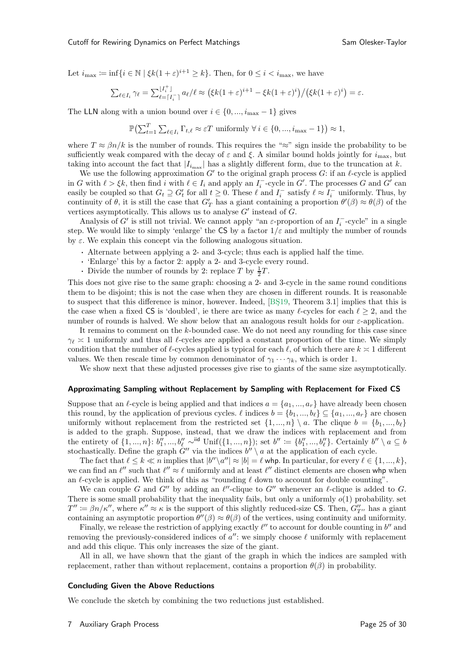Let  $i_{\max} := \inf\{i \in \mathbb{N} \mid \xi k(1+\varepsilon)^{i+1} \geq k\}$ . Then, for  $0 \leq i < i_{\max}$ , we have

$$
\sum_{\ell \in I_i} \gamma_{\ell} = \sum_{\ell= \lceil I_i \rceil}^{\lfloor I_i^+ \rfloor} a_{\ell} / \ell \approx \left( \xi k (1+\varepsilon)^{i+1} - \xi k (1+\varepsilon)^{i} \right) / \left( \xi k (1+\varepsilon)^{i} \right) = \varepsilon.
$$

The LLN along with a union bound over  $i \in \{0, ..., i_{\max} - 1\}$  gives

$$
\mathbb{P}\left(\sum_{t=1}^{T} \sum_{\ell \in I_i} \Gamma_{t,\ell} \approx \varepsilon T \text{ uniformly } \forall i \in \{0, ..., i_{\max} - 1\}\right) \approx 1,
$$

where  $T \approx \beta n/k$  is the number of rounds. This requires the "≈" sign inside the probability to be sufficiently weak compared with the decay of  $\varepsilon$  and  $\xi$ . A similar bound holds jointly for  $i_{\text{max}}$ , but taking into account the fact that  $|I_{i_{\text{max}}}|$  has a slightly different form, due to the truncation at k.

We use the following approximation  $G'$  to the original graph process  $G$ : if an  $\ell$ -cycle is applied in G with  $\ell > \xi k$ , then find i with  $\ell \in I_i$  and apply an  $I_i^-$ -cycle in G'. The processes G and G' can easily be coupled so that  $G_t \supseteq G'_t$  for all  $t \geq 0$ . These  $\ell$  and  $I_i^-$  satisfy  $\ell \approx I_i^-$  uniformly. Thus, by continuity of  $\theta$ , it is still the case that  $G'_T$  has a giant containing a proportion  $\theta'(\beta) \approx \theta(\beta)$  of the vertices asymptotically. This allows us to analyse  $G'$  instead of  $G$ .

Analysis of G' is still not trivial. We cannot apply "an  $\varepsilon$ -proportion of an  $I_i^-$ -cycle" in a single step. We would like to simply 'enlarge' the CS by a factor  $1/\varepsilon$  and multiply the number of rounds by  $\varepsilon$ . We explain this concept via the following analogous situation.

- · Alternate between applying a 2- and 3-cycle; thus each is applied half the time.
- · 'Enlarge' this by a factor 2: apply a 2- and 3-cycle every round.
- Divide the number of rounds by 2: replace T by  $\frac{1}{2}T$ .

This does not give rise to the same graph: choosing a 2- and 3-cycle in the same round conditions them to be disjoint; this is not the case when they are chosen in different rounds. It is reasonable to suspect that this difference is minor, however. Indeed, [BS19, Theorem 3.1] implies that this is the case when a fixed CS is 'doubled', ie there are twice as many  $\ell$ -cycles for each  $\ell > 2$ , and the number of rounds is halved. We show below that an analogous result holds for our  $\varepsilon$ -application.

It remains to comment on the k-bounded case. We do not need any rounding for this case since  $\gamma_{\ell} \geq 1$  uniformly and thus all  $\ell$ -cycles are applied a constant proportion of the time. We simply condition that the number of  $\ell$ -cycles applied is typical for each  $\ell$ , of which there are  $k \approx 1$  different values. We then rescale time by common denominator of  $\gamma_1 \cdots \gamma_k$ , which is order 1.

We show next that these adjusted processes give rise to giants of the same size asymptotically.

#### Approximating Sampling without Replacement by Sampling with Replacement for Fixed CS

Suppose that an  $\ell$ -cycle is being applied and that indices  $a = \{a_1, ..., a_r\}$  have already been chosen this round, by the application of previous cycles.  $\ell$  indices  $b = \{b_1, ..., b_\ell\} \subseteq \{a_1, ..., a_r\}$  are chosen uniformly without replacement from the restricted set  $\{1, ..., n\} \setminus a$ . The clique  $b = \{b_1, ..., b_\ell\}$ is added to the graph. Suppose, instead, that we draw the indices with replacement and from the entirety of  $\{1, ..., n\}$ :  $b''_1, ..., b''_\ell \sim^{\text{iid}} \text{Unif}(\{1, ..., n\})$ ; set  $b'' := \{b''_1, ..., b''_\ell\}$ . Certainly  $b'' \setminus a \subseteq b$ stochastically. Define the graph  $G''$  via the indices  $b'' \setminus a$  at the application of each cycle.

The fact that  $\ell \leq k \ll n$  implies that  $|b''\setminus a''| \approx |b| = \ell$  whp. In particular, for every  $\ell \in \{1, ..., k\}$ , we can find an  $\ell''$  such that  $\ell'' \approx \ell$  uniformly and at least  $\ell''$  distinct elements are chosen whp when an  $\ell$ -cycle is applied. We think of this as "rounding  $\ell$  down to account for double counting".

We can couple G and G'' by adding an  $\ell''$ -clique to G'' whenever an  $\ell$ -clique is added to G. There is some small probability that the inequality fails, but only a uniformly  $o(1)$  probability. set  $T'' \coloneqq \beta n / \kappa''$ , where  $\kappa'' \approx \kappa$  is the support of this slightly reduced-size CS. Then,  $G''_{T''}$  has a giant containing an asymptotic proportion  $\theta''(\beta) \approx \theta(\beta)$  of the vertices, using continuity and uniformity.

Finally, we release the restriction of applying exactly  $\ell''$  to account for double counting in  $b''$  and removing the previously-considered indices of  $a''$ : we simply choose  $\ell$  uniformly with replacement and add this clique. This only increases the size of the giant.

All in all, we have shown that the giant of the graph in which the indices are sampled with replacement, rather than without replacement, contains a proportion  $\theta(\beta)$  in probability.

#### Concluding Given the Above Reductions

We conclude the sketch by combining the two reductions just established.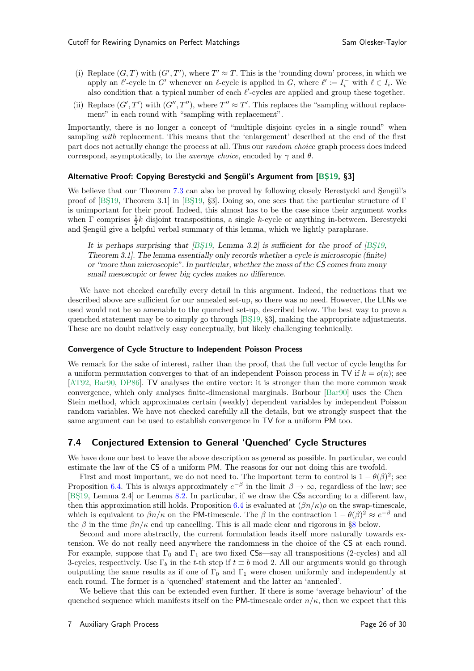- (i) Replace  $(G, T)$  with  $(G', T')$ , where  $T' \approx T$ . This is the 'rounding down' process, in which we apply an  $\ell'$ -cycle in G' whenever an  $\ell$ -cycle is applied in G, where  $\ell' := I_i^-$  with  $\ell \in I_i$ . We also condition that a typical number of each  $\ell'$ -cycles are applied and group these together.
- (ii) Replace  $(G', T')$  with  $(G'', T'')$ , where  $T'' \approx T'$ . This replaces the "sampling without replacement" in each round with "sampling with replacement".

Importantly, there is no longer a concept of "multiple disjoint cycles in a single round" when sampling *with* replacement. This means that the 'enlargement' described at the end of the first part does not actually change the process at all. Thus our random choice graph process does indeed correspond, asymptotically, to the *average choice*, encoded by  $\gamma$  and  $\theta$ .

#### Alternative Proof: Copying Berestycki and Şengül's Argument from [BŞ19, §3]

We believe that our Theorem [7.3](#page-23-0) can also be proved by following closely Berestycki and Sengül's proof of [BS<sub>19</sub>, Theorem 3.1] in [BS<sub>19</sub>, §3]. Doing so, one sees that the particular structure of Γ is unimportant for their proof. Indeed, this almost has to be the case since their argument works when  $\Gamma$  comprises  $\frac{1}{2}k$  disjoint transpositions, a single k-cycle or anything in-between. Berestycki and Şengül give a helpful verbal summary of this lemma, which we lightly paraphrase.

It is perhaps surprising that  $[BS19, Lemma 3.2]$  is sufficient for the proof of  $[BS19,$ Theorem 3.1]. The lemma essentially only records whether a cycle is microscopic (finite) or "more than microscopic". In particular, whether the mass of the *CS* comes from many small mesoscopic or fewer big cycles makes no difference.

We have not checked carefully every detail in this argument. Indeed, the reductions that we described above are sufficient for our annealed set-up, so there was no need. However, the LLNs we used would not be so amenable to the quenched set-up, described below. The best way to prove a quenched statement may be to simply go through [BS19, §3], making the appropriate adjustments. These are no doubt relatively easy conceptually, but likely challenging technically.

#### Convergence of Cycle Structure to Independent Poisson Process

We remark for the sake of interest, rather than the proof, that the full vector of cycle lengths for a uniform permutation converges to that of an independent Poisson process in TV if  $k = o(n)$ ; see [\[AT92,](#page-28-15) [Bar90](#page-28-16), [DP86](#page-29-14)]. TV analyses the entire vector: it is stronger than the more common weak convergence, which only analyses finite-dimensional marginals. Barbour [\[Bar90\]](#page-28-16) uses the Chen– Stein method, which approximates certain (weakly) dependent variables by independent Poisson random variables. We have not checked carefully all the details, but we strongly suspect that the same argument can be used to establish convergence in TV for a uniform PM too.

### <span id="page-25-0"></span>7.4 Conjectured Extension to General 'Quenched' Cycle Structures

We have done our best to leave the above description as general as possible. In particular, we could estimate the law of the CS of a uniform PM. The reasons for our not doing this are twofold.

First and most important, we do not need to. The important term to control is  $1 - \theta(\beta)^2$ ; see Proposition [6.4.](#page-19-1) This is always approximately  $e^{-\beta}$  in the limit  $\beta \to \infty$ , regardless of the law; see [BŞ19, Lemma 2.4] or Lemma [8.2.](#page-26-1) In particular, if we draw the CSs according to a different law, then this approximation still holds. Proposition [6.4](#page-19-1) is evaluated at  $(\beta n/\kappa)\rho$  on the swap-timescale, which is equivalent to  $\beta n/\kappa$  on the PM-timescale. The  $\beta$  in the contraction  $1 - \theta(\beta)^2 \approx e^{-\beta}$  and the  $\beta$  in the time  $\beta n/\kappa$  end up cancelling. This is all made clear and rigorous in §[8](#page-26-0) below.

Second and more abstractly, the current formulation leads itself more naturally towards extension. We do not really need anywhere the randomness in the choice of the CS at each round. For example, suppose that  $\Gamma_0$  and  $\Gamma_1$  are two fixed CSs—say all transpositions (2-cycles) and all 3-cycles, respectively. Use  $\Gamma_b$  in the t-th step if  $t \equiv b \mod 2$ . All our arguments would go through outputting the same results as if one of  $\Gamma_0$  and  $\Gamma_1$  were chosen uniformly and independently at each round. The former is a 'quenched' statement and the latter an 'annealed'.

We believe that this can be extended even further. If there is some 'average behaviour' of the quenched sequence which manifests itself on the PM-timescale order  $n/\kappa$ , then we expect that this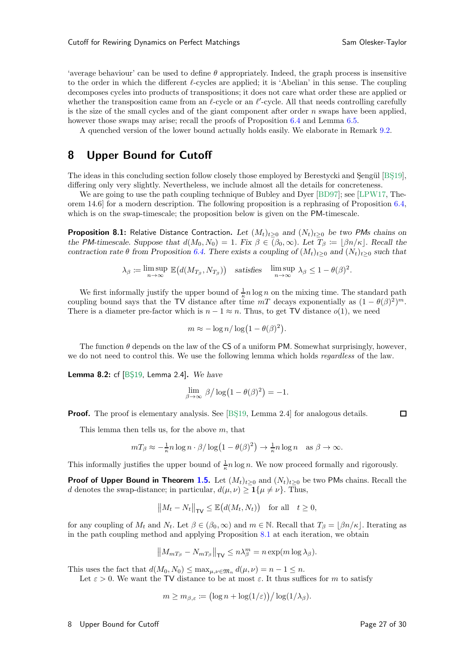'average behaviour' can be used to define  $\theta$  appropriately. Indeed, the graph process is insensitive to the order in which the different l-cycles are applied; it is 'Abelian' in this sense. The coupling decomposes cycles into products of transpositions; it does not care what order these are applied or whether the transposition came from an  $\ell$ -cycle or an  $\ell'$ -cycle. All that needs controlling carefully is the size of the small cycles and of the giant component after order  $n$  swaps have been applied, however those swaps may arise; recall the proofs of Proposition [6.4](#page-19-1) and Lemma [6.5.](#page-19-0)

<span id="page-26-0"></span>A quenched version of the lower bound actually holds easily. We elaborate in Remark [9.2.](#page-27-1)

## 8 Upper Bound for Cutoff

The ideas in this concluding section follow closely those employed by Berestycki and Sengül [BS19], differing only very slightly. Nevertheless, we include almost all the details for concreteness.

<span id="page-26-2"></span>We are going to use the path coupling technique of Bubley and Dyer [\[BD97](#page-28-17)]; see [\[LPW17](#page-29-2), Theorem 14.6] for a modern description. The following proposition is a rephrasing of Proposition [6.4,](#page-19-1) which is on the swap-timescale; the proposition below is given on the PM-timescale.

**Proposition 8.1:** Relative Distance Contraction. Let  $(M_t)_{t\geq 0}$  and  $(N_t)_{t\geq 0}$  be two *PMs* chains on the *PM*-timescale. Suppose that  $d(M_0, N_0) = 1$ . Fix  $\beta \in (\beta_0, \infty)$ . Let  $T_\beta := [\beta n/\kappa]$ . Recall the contraction rate  $\theta$  from Proposition [6.4.](#page-19-1) There exists a coupling of  $(M_t)_{t>0}$  and  $(N_t)_{t>0}$  such that

$$
\lambda_{\beta} := \limsup_{n \to \infty} \mathbb{E}\big(d(M_{T_{\beta}}, N_{T_{\beta}})\big) \quad \text{satisfies} \quad \limsup_{n \to \infty} \lambda_{\beta} \leq 1 - \theta(\beta)^2.
$$

We first informally justify the upper bound of  $\frac{1}{\kappa}n\log n$  on the mixing time. The standard path coupling bound says that the TV distance after time  $mT$  decays exponentially as  $(1 - \theta(\beta)^2)^m$ . There is a diameter pre-factor which is  $n - 1 \approx n$ . Thus, to get TV distance  $o(1)$ , we need

$$
m \approx -\log n/\log(1-\theta(\beta)^2).
$$

<span id="page-26-1"></span>The function  $\theta$  depends on the law of the CS of a uniform PM. Somewhat surprisingly, however, we do not need to control this. We use the following lemma which holds *regardless* of the law.

Lemma 8.2: cf  $[BS19, Lemma 2.4]$ . We have

$$
\lim_{\beta \to \infty} \beta / \log(1 - \theta(\beta)^2) = -1.
$$

**Proof.** The proof is elementary analysis. See [BS19, Lemma 2.4] for analogous details.

This lemma then tells us, for the above  $m$ , that

$$
mT_{\beta} \approx -\frac{1}{\kappa} n \log n \cdot \beta / \log (1 - \theta(\beta)^2) \to \frac{1}{\kappa} n \log n \quad \text{as } \beta \to \infty.
$$

This informally justifies the upper bound of  $\frac{1}{\kappa}n\log n$ . We now proceed formally and rigorously.

**Proof of Upper Bound in Theorem [1.5.](#page-2-2)** Let  $(M_t)_{t>0}$  and  $(N_t)_{t>0}$  be two PMs chains. Recall the d denotes the swap-distance; in particular,  $d(\mu, \nu) \geq \mathbf{1}\{\mu \neq \nu\}$ . Thus,

$$
||M_t - N_t||_{\mathsf{TV}} \le \mathbb{E}\big(d(M_t, N_t)\big) \quad \text{for all} \quad t \ge 0,
$$

for any coupling of  $M_t$  and  $N_t$ . Let  $\beta \in (\beta_0, \infty)$  and  $m \in \mathbb{N}$ . Recall that  $T_\beta = |\beta n/\kappa|$ . Iterating as in the path coupling method and applying Proposition [8.1](#page-26-2) at each iteration, we obtain

$$
\left\|M_{mT_{\beta}}-N_{mT_{\beta}}\right\|_{\mathsf{TV}}\leq n\lambda_{\beta}^{m}=n\exp(m\log\lambda_{\beta}).
$$

This uses the fact that  $d(M_0, N_0) \leq \max_{\mu,\nu \in \mathfrak{M}_n} d(\mu, \nu) = n - 1 \leq n$ .

Let  $\varepsilon > 0$ . We want the TV distance to be at most  $\varepsilon$ . It thus suffices for m to satisfy

$$
m \geq m_{\beta,\varepsilon} \coloneqq \bigl(\log n + \log(1/\varepsilon)\bigr) / \log(1/\lambda_{\beta}).
$$

 $\Box$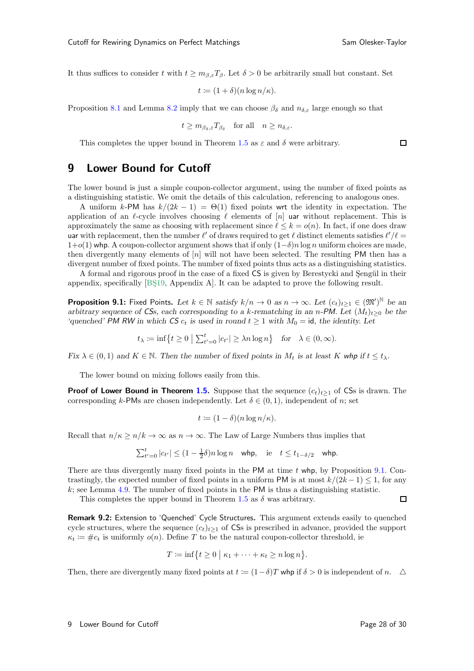$\Box$ 

It thus suffices to consider t with  $t \geq m_{\beta,\varepsilon}T_{\beta}$ . Let  $\delta > 0$  be arbitrarily small but constant. Set

$$
t \coloneqq (1+\delta)(n\log n/\kappa).
$$

Proposition [8.1](#page-26-2) and Lemma [8.2](#page-26-1) imply that we can choose  $\beta_{\delta}$  and  $n_{\delta,\varepsilon}$  large enough so that

$$
t \geq m_{\beta_{\delta},\varepsilon}T_{\beta_{\delta}}
$$
 for all  $n \geq n_{\delta,\varepsilon}$ .

<span id="page-27-0"></span>This completes the upper bound in Theorem [1.5](#page-2-2) as  $\varepsilon$  and  $\delta$  were arbitrary.

## 9 Lower Bound for Cutoff

The lower bound is just a simple coupon-collector argument, using the number of fixed points as a distinguishing statistic. We omit the details of this calculation, referencing to analogous ones.

A uniform k-PM has  $k/(2k-1) = \Theta(1)$  fixed points wrt the identity in expectation. The application of an  $\ell$ -cycle involves choosing  $\ell$  elements of [n] uar without replacement. This is approximately the same as choosing with replacement since  $\ell \leq k = o(n)$ . In fact, if one does draw uar with replacement, then the number  $\ell'$  of draws required to get  $\ell$  distinct elements satisfies  $\ell'/\ell =$  $1+o(1)$  whp. A coupon-collector argument shows that if only  $(1-\delta)n \log n$  uniform choices are made, then divergently many elements of  $[n]$  will not have been selected. The resulting PM then has a divergent number of fixed points. The number of fixed points thus acts as a distinguishing statistics.

<span id="page-27-2"></span>A formal and rigorous proof in the case of a fixed CS is given by Berestycki and Sengül in their appendix, specifically [BS19, Appendix A]. It can be adapted to prove the following result.

**Proposition 9.1:** Fixed Points. Let  $k \in \mathbb{N}$  satisfy  $k/n \to 0$  as  $n \to \infty$ . Let  $(c_t)_{t \geq 1} \in (\mathfrak{M}')^{\mathbb{N}}$  be an arbitrary sequence of *CSs*, each corresponding to a k-rematching in an n-PM. Let  $(M_t)_{t>0}$  be the 'quenched' *PM RW* in which *CS*  $c_t$  is used in round  $t \geq 1$  with  $M_0 = id$ , the identity. Let

$$
t_{\lambda} := \inf \{ t \ge 0 \mid \sum_{t'=0}^{t} |c_{t'}| \ge \lambda n \log n \}
$$
 for  $\lambda \in (0, \infty)$ .

Fix  $\lambda \in (0, 1)$  and  $K \in \mathbb{N}$ . Then the number of fixed points in  $M_t$  is at least K whp if  $t \leq t_{\lambda}$ .

The lower bound on mixing follows easily from this.

**Proof of Lower Bound in Theorem [1.5.](#page-2-2)** Suppose that the sequence  $(c_t)_{t\geq 1}$  of CSs is drawn. The corresponding k-PMs are chosen independently. Let  $\delta \in (0,1)$ , independent of n; set

$$
t \coloneqq (1 - \delta)(n \log n/\kappa).
$$

Recall that  $n/\kappa \geq n/k \to \infty$  as  $n \to \infty$ . The Law of Large Numbers thus implies that

$$
\sum_{t'=0}^t |c_{t'}| \le (1 - \frac{1}{2}\delta)n \log n \quad \text{whp}, \quad \text{ie} \quad t \le t_{1-\delta/2} \quad \text{whp}.
$$

There are thus divergently many fixed points in the PM at time  $t$  whp, by Proposition [9.1.](#page-27-2) Contrastingly, the expected number of fixed points in a uniform PM is at most  $k/(2k-1) \leq 1$ , for any k; see Lemma [4.9.](#page-12-2) The number of fixed points in the PM is thus a distinguishing statistic.  $\Box$ 

<span id="page-27-1"></span>This completes the upper bound in Theorem [1.5](#page-2-2) as  $\delta$  was arbitrary.

Remark 9.2: Extension to 'Quenched' Cycle Structures. This argument extends easily to quenched cycle structures, where the sequence  $(c_t)_{t\geq 1}$  of CSs is prescribed in advance, provided the support  $\kappa_t := \text{#c}_t$  is uniformly  $o(n)$ . Define T to be the natural coupon-collector threshold, ie

$$
T := \inf\bigl\{t \geq 0 \mid \kappa_1 + \cdots + \kappa_t \geq n \log n\bigr\}.
$$

Then, there are divergently many fixed points at  $t := (1-\delta)T$  whp if  $\delta > 0$  is independent of n.  $\Delta$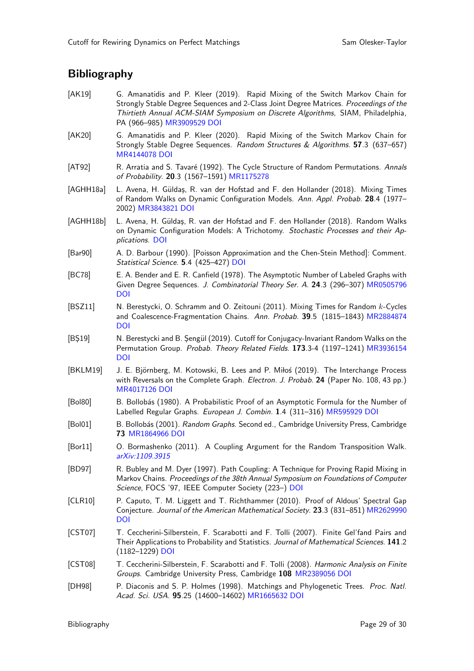# **Bibliography**

- <span id="page-28-13"></span>[AK19] G. Amanatidis and P. Kleer (2019). Rapid Mixing of the Switch Markov Chain for Strongly Stable Degree Sequences and 2-Class Joint Degree Matrices. *Proceedings of the Thirtieth Annual ACM-SIAM Symposium on Discrete Algorithms*, SIAM, Philadelphia, PA (966–985) [MR3909529](http://www.ams.org/mathscinet-getitem?mr=MR3909529) [DOI](https://doi.org/10.1137/1.9781611975482.60)
- <span id="page-28-14"></span>[AK20] G. Amanatidis and P. Kleer (2020). Rapid Mixing of the Switch Markov Chain for Strongly Stable Degree Sequences. *Random Structures & Algorithms*. 57.3 (637–657) [MR4144078](http://www.ams.org/mathscinet-getitem?mr=MR4144078) [DOI](https://doi.org/10.1002/rsa.20949)
- <span id="page-28-15"></span>[AT92] R. Arratia and S. Tavar´e (1992). The Cycle Structure of Random Permutations. *Annals of Probability*. 20.3 (1567–1591) [MR1175278](http://www.ams.org/mathscinet-getitem?mr=MR1175278)
- <span id="page-28-8"></span>[AGHH18a] L. Avena, H. Güldaş, R. van der Hofstad and F. den Hollander (2018). Mixing Times of Random Walks on Dynamic Configuration Models. *Ann. Appl. Probab.* 28.4 (1977– 2002) [MR3843821](http://www.ams.org/mathscinet-getitem?mr=MR3843821) [DOI](https://doi.org/10.1214/17-AAP1289)
- <span id="page-28-9"></span>[AGHH18b] L. Avena, H. Güldaş, R. van der Hofstad and F. den Hollander (2018). Random Walks on Dynamic Configuration Models: A Trichotomy. *Stochastic Processes and their Applications*. [DOI](https://doi.org/10.1016/j.spa.2018.09.010)
- <span id="page-28-16"></span>[Bar90] A. D. Barbour (1990). [Poisson Approximation and the Chen-Stein Method]: Comment. *Statistical Science*. 5.4 (425–427) [DOI](https://doi.org/10.1214/ss/1177012017)
- <span id="page-28-10"></span>[BC78] E. A. Bender and E. R. Canfield (1978). The Asymptotic Number of Labeled Graphs with Given Degree Sequences. *J. Combinatorial Theory Ser. A*. 24.3 (296–307) [MR0505796](http://www.ams.org/mathscinet-getitem?mr=MR0505796) [DOI](https://doi.org/10.1016/0097-3165(78)90059-6)
- <span id="page-28-3"></span>[BSZ11] N. Berestycki, O. Schramm and O. Zeitouni (2011). Mixing Times for Random k-Cycles and Coalescence-Fragmentation Chains. *Ann. Probab.* 39.5 (1815–1843) [MR2884874](http://www.ams.org/mathscinet-getitem?mr=MR2884874) [DOI](https://doi.org/10.1214/10-AOP634)
- <span id="page-28-4"></span>[BS19] N. Berestycki and B. Sengül (2019). Cutoff for Conjugacy-Invariant Random Walks on the Permutation Group. *Probab. Theory Related Fields*. 173.3-4 (1197–1241) [MR3936154](http://www.ams.org/mathscinet-getitem?mr=MR3936154) [DOI](https://doi.org/10.1007/s00440-018-0844-y)
- <span id="page-28-6"></span>[BKLM19] J. E. Björnberg, M. Kotowski, B. Lees and P. Miłoś (2019). The Interchange Process with Reversals on the Complete Graph. *Electron. J. Probab.* 24 (Paper No. 108, 43 pp.) [MR4017126](http://www.ams.org/mathscinet-getitem?mr=MR4017126) [DOI](https://doi.org/10.1214/19-ejp366)
- <span id="page-28-11"></span>[Bol80] B. Bollobás (1980). A Probabilistic Proof of an Asymptotic Formula for the Number of Labelled Regular Graphs. *European J. Combin.* 1.4 (311–316) [MR595929](http://www.ams.org/mathscinet-getitem?mr=MR595929) [DOI](https://doi.org/10.1016/S0195-6698(80)80030-8)
- <span id="page-28-12"></span>[Bol01] B. Bollobás (2001). *Random Graphs*. Second ed., Cambridge University Press, Cambridge 73 [MR1864966](http://www.ams.org/mathscinet-getitem?mr=MR1864966) [DOI](https://doi.org/10.1017/CBO9780511814068)
- <span id="page-28-5"></span>[Bor11] O. Bormashenko (2011). A Coupling Argument for the Random Transposition Walk. *[arXiv:1109.3915](https://arxiv.org/abs/1109.3915)*
- <span id="page-28-17"></span>[BD97] R. Bubley and M. Dyer (1997). Path Coupling: A Technique for Proving Rapid Mixing in Markov Chains. *Proceedings of the 38th Annual Symposium on Foundations of Computer Science*, FOCS '97, IEEE Computer Society (223–) [DOI](https://doi.org/10.1109/SFCS.1997.646111)
- <span id="page-28-7"></span>[CLR10] P. Caputo, T. M. Liggett and T. Richthammer (2010). Proof of Aldous' Spectral Gap Conjecture. *Journal of the American Mathematical Society*. 23.3 (831–851) [MR2629990](http://www.ams.org/mathscinet-getitem?mr=MR2629990) [DOI](https://doi.org/10.1090/S0894-0347-10-00659-4)
- <span id="page-28-1"></span>[CST07] T. Ceccherini-Silberstein, F. Scarabotti and F. Tolli (2007). Finite Gel'fand Pairs and Their Applications to Probability and Statistics. *Journal of Mathematical Sciences*. 141.2 (1182–1229) [DOI](https://doi.org/10.1007/s10958-007-0041-5)
- <span id="page-28-2"></span>[CST08] T. Ceccherini-Silberstein, F. Scarabotti and F. Tolli (2008). *Harmonic Analysis on Finite Groups*. Cambridge University Press, Cambridge 108 [MR2389056](http://www.ams.org/mathscinet-getitem?mr=MR2389056) [DOI](https://doi.org/10.1017/CBO9780511619823)
- <span id="page-28-0"></span>[DH98] P. Diaconis and S. P. Holmes (1998). Matchings and Phylogenetic Trees. *Proc. Natl. Acad. Sci. USA*. 95.25 (14600–14602) [MR1665632](http://www.ams.org/mathscinet-getitem?mr=MR1665632) [DOI](https://doi.org/10.1073/pnas.95.25.14600)